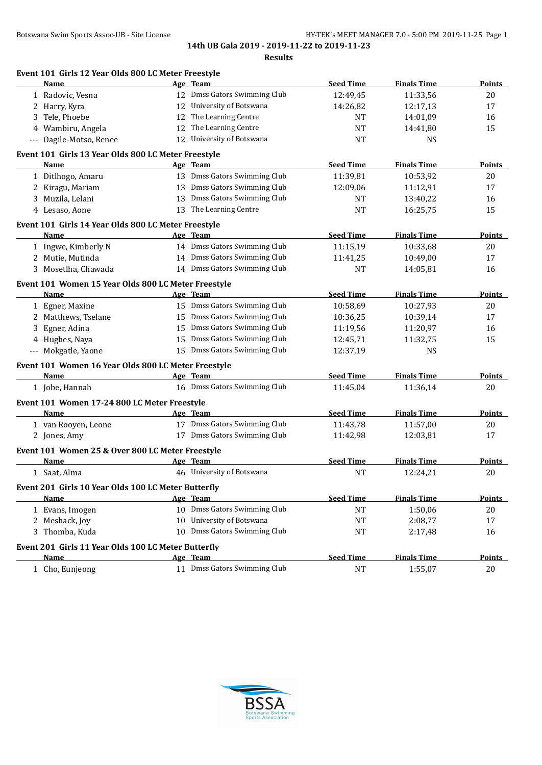|                     | Name                                                |    | Age Team                     | <b>Seed Time</b> | <b>Finals Time</b> | Points        |
|---------------------|-----------------------------------------------------|----|------------------------------|------------------|--------------------|---------------|
|                     | 1 Radovic, Vesna                                    |    | 12 Dmss Gators Swimming Club | 12:49,45         | 11:33,56           | 20            |
| 2                   | Harry, Kyra                                         | 12 | University of Botswana       | 14:26,82         | 12:17,13           | 17            |
| 3                   | Tele, Phoebe                                        | 12 | The Learning Centre          | <b>NT</b>        | 14:01,09           | 16            |
| 4                   | Wambiru, Angela                                     | 12 | The Learning Centre          | <b>NT</b>        | 14:41,80           | 15            |
| $\qquad \qquad - -$ | Oagile-Motso, Renee                                 |    | 12 University of Botswana    | NT               | NS.                |               |
|                     | Event 101 Girls 13 Year Olds 800 LC Meter Freestyle |    |                              |                  |                    |               |
|                     | Name                                                |    | Age Team                     | <b>Seed Time</b> | <b>Finals Time</b> | <b>Points</b> |
|                     | 1 Ditlhogo, Amaru                                   |    | 13 Dmss Gators Swimming Club | 11:39,81         | 10:53,92           | 20            |
|                     | 2 Kiragu, Mariam                                    |    | 13 Dmss Gators Swimming Club | 12:09,06         | 11:12,91           | 17            |
|                     | 3 Muzila, Lelani                                    |    | 13 Dmss Gators Swimming Club | NT               | 13:40,22           | 16            |
|                     | 4 Lesaso, Aone                                      |    | 13 The Learning Centre       | <b>NT</b>        | 16:25,75           | 15            |
|                     | Event 101 Girls 14 Year Olds 800 LC Meter Freestyle |    |                              |                  |                    |               |
|                     | Name                                                |    | Age Team                     | <b>Seed Time</b> | <b>Finals Time</b> | <b>Points</b> |
|                     | 1 Ingwe, Kimberly N                                 |    | 14 Dmss Gators Swimming Club | 11:15,19         | 10:33,68           | 20            |
|                     | 2 Mutie, Mutinda                                    |    | 14 Dmss Gators Swimming Club | 11:41,25         | 10:49,00           | 17            |
|                     | 3 Mosetlha, Chawada                                 |    | 14 Dmss Gators Swimming Club | <b>NT</b>        | 14:05,81           | 16            |
|                     | Event 101 Women 15 Year Olds 800 LC Meter Freestyle |    |                              |                  |                    |               |
|                     | Name                                                |    | Age Team                     | <b>Seed Time</b> | <b>Finals Time</b> | <b>Points</b> |
|                     | 1 Egner, Maxine                                     |    | 15 Dmss Gators Swimming Club | 10:58,69         | 10:27,93           | 20            |
|                     | 2 Matthews, Tselane                                 | 15 | Dmss Gators Swimming Club    | 10:36,25         | 10:39,14           | 17            |
| 3.                  | Egner, Adina                                        | 15 | Dmss Gators Swimming Club    | 11:19,56         | 11:20,97           | 16            |
|                     | 4 Hughes, Naya                                      | 15 | Dmss Gators Swimming Club    | 12:45,71         | 11:32,75           | 15            |
|                     | --- Mokgatle, Yaone                                 |    | 15 Dmss Gators Swimming Club | 12:37,19         | <b>NS</b>          |               |
|                     | Event 101 Women 16 Year Olds 800 LC Meter Freestyle |    |                              |                  |                    |               |
|                     | Name                                                |    | Age Team                     | <b>Seed Time</b> | <b>Finals Time</b> | <b>Points</b> |
|                     | 1 Jobe, Hannah                                      |    | 16 Dmss Gators Swimming Club | 11:45,04         | 11:36,14           | 20            |
|                     | Event 101 Women 17-24 800 LC Meter Freestyle        |    |                              |                  |                    |               |
|                     | Name                                                |    | Age Team                     | <b>Seed Time</b> | <b>Finals Time</b> | <b>Points</b> |
|                     | 1 van Rooyen, Leone                                 |    | 17 Dmss Gators Swimming Club | 11:43,78         | 11:57,00           | 20            |
|                     | 2 Jones, Amy                                        |    | 17 Dmss Gators Swimming Club | 11:42,98         | 12:03,81           | 17            |
|                     | Event 101 Women 25 & Over 800 LC Meter Freestyle    |    |                              |                  |                    |               |
|                     | Name                                                |    | Age Team                     | <b>Seed Time</b> | <b>Finals Time</b> | <b>Points</b> |
|                     | 1 Saat, Alma                                        |    | 46 University of Botswana    | <b>NT</b>        | 12:24,21           | 20            |
|                     | Event 201 Girls 10 Year Olds 100 LC Meter Butterfly |    |                              |                  |                    |               |
|                     | Name                                                |    | Age Team                     | <b>Seed Time</b> | <b>Finals Time</b> | <b>Points</b> |
|                     | 1 Evans, Imogen                                     |    | 10 Dmss Gators Swimming Club | <b>NT</b>        | 1:50,06            | 20            |
|                     | 2 Meshack, Joy                                      |    | 10 University of Botswana    | <b>NT</b>        | 2:08,77            | 17            |
|                     | 3 Thomba, Kuda                                      |    | 10 Dmss Gators Swimming Club | NT               | 2:17,48            | 16            |
|                     | Event 201 Girls 11 Year Olds 100 LC Meter Butterfly |    |                              |                  |                    |               |
|                     | Name                                                |    | Age Team                     | <b>Seed Time</b> | <b>Finals Time</b> | <b>Points</b> |
|                     | 1 Cho, Eunjeong                                     |    | 11 Dmss Gators Swimming Club | $\rm{NT}$        | 1:55,07            | $20\,$        |

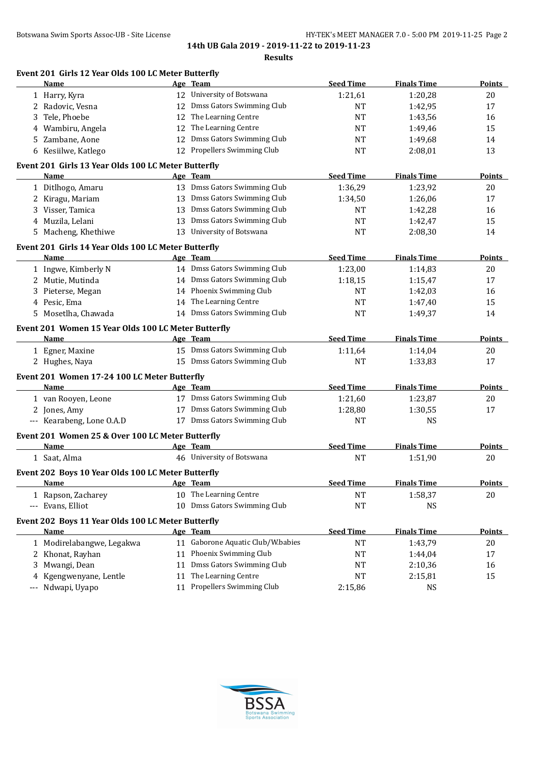**14th UB Gala 2019 - 2019-11-22 to 2019-11-23**

| esun |
|------|
|------|

| Event 201 Girls 12 Year Olds 100 LC Meter Butterfly<br>Name |    | Age Team                          | <b>Seed Time</b> | <b>Finals Time</b> | Points        |
|-------------------------------------------------------------|----|-----------------------------------|------------------|--------------------|---------------|
|                                                             |    | 12 University of Botswana         | 1:21,61          | 1:20,28            | 20            |
| 1 Harry, Kyra<br>2 Radovic, Vesna                           |    | 12 Dmss Gators Swimming Club      | <b>NT</b>        | 1:42,95            | 17            |
| Tele, Phoebe                                                |    | 12 The Learning Centre            | NT               | 1:43,56            | 16            |
| 3<br>4 Wambiru, Angela                                      |    | 12 The Learning Centre            |                  |                    | 15            |
| 5 Zambane, Aone                                             |    | 12 Dmss Gators Swimming Club      | NT               | 1:49,46<br>1:49,68 | 14            |
| 6 Kesiilwe, Katlego                                         |    | 12 Propellers Swimming Club       | NT<br>NT         | 2:08,01            | 13            |
|                                                             |    |                                   |                  |                    |               |
| Event 201 Girls 13 Year Olds 100 LC Meter Butterfly         |    |                                   |                  |                    |               |
| Name                                                        |    | Age Team                          | <b>Seed Time</b> | <b>Finals Time</b> | Points        |
| 1 Ditlhogo, Amaru                                           |    | 13 Dmss Gators Swimming Club      | 1:36,29          | 1:23,92            | 20            |
| 2 Kiragu, Mariam                                            |    | 13 Dmss Gators Swimming Club      | 1:34,50          | 1:26,06            | 17            |
| 3 Visser, Tamica                                            |    | 13 Dmss Gators Swimming Club      | <b>NT</b>        | 1:42,28            | 16            |
| 4 Muzila, Lelani                                            |    | 13 Dmss Gators Swimming Club      | <b>NT</b>        | 1:42,47            | 15            |
| 5 Macheng, Khethiwe                                         |    | 13 University of Botswana         | NT               | 2:08,30            | 14            |
| Event 201 Girls 14 Year Olds 100 LC Meter Butterfly         |    |                                   |                  |                    |               |
| Name                                                        |    | Age Team                          | <b>Seed Time</b> | <b>Finals Time</b> | <b>Points</b> |
| 1 Ingwe, Kimberly N                                         |    | 14 Dmss Gators Swimming Club      | 1:23,00          | 1:14,83            | 20            |
| 2 Mutie, Mutinda                                            |    | 14 Dmss Gators Swimming Club      | 1:18,15          | 1:15,47            | 17            |
| 3 Pieterse, Megan                                           |    | 14 Phoenix Swimming Club          | NT               | 1:42,03            | 16            |
| 4 Pesic, Ema                                                |    | 14 The Learning Centre            | NT               | 1:47,40            | 15            |
| 5 Mosetlha, Chawada                                         |    | 14 Dmss Gators Swimming Club      | NT               | 1:49,37            | 14            |
| Event 201 Women 15 Year Olds 100 LC Meter Butterfly         |    |                                   |                  |                    |               |
| <u>Name</u>                                                 |    | Age Team                          | <b>Seed Time</b> | <b>Finals Time</b> | <b>Points</b> |
| 1 Egner, Maxine                                             |    | 15 Dmss Gators Swimming Club      | 1:11,64          | 1:14,04            | 20            |
| 2 Hughes, Naya                                              |    | 15 Dmss Gators Swimming Club      | <b>NT</b>        | 1:33,83            | 17            |
|                                                             |    |                                   |                  |                    |               |
| Event 201 Women 17-24 100 LC Meter Butterfly                |    |                                   |                  |                    |               |
| Name                                                        |    | Age Team                          | <b>Seed Time</b> | <b>Finals Time</b> | <b>Points</b> |
| 1 van Rooyen, Leone                                         |    | 17 Dmss Gators Swimming Club      | 1:21,60          | 1:23,87            | 20            |
| 2 Jones, Amy                                                |    | 17 Dmss Gators Swimming Club      | 1:28,80          | 1:30,55            | 17            |
| --- Kearabeng, Lone O.A.D                                   |    | 17 Dmss Gators Swimming Club      | NT               | <b>NS</b>          |               |
| Event 201 Women 25 & Over 100 LC Meter Butterfly            |    |                                   |                  |                    |               |
| Name                                                        |    | Age Team                          | <b>Seed Time</b> | <b>Finals Time</b> | Points        |
| 1 Saat, Alma                                                |    | 46 University of Botswana         | <b>NT</b>        | 1:51,90            | 20            |
| Event 202 Boys 10 Year Olds 100 LC Meter Butterfly          |    |                                   |                  |                    |               |
| <u>Name</u>                                                 |    | Age Team                          | <b>Seed Time</b> | <b>Finals Time</b> | <b>Points</b> |
| 1 Rapson, Zacharey                                          |    | 10 The Learning Centre            | $\rm{NT}$        | 1:58,37            | 20            |
| --- Evans, Elliot                                           |    | 10 Dmss Gators Swimming Club      | <b>NT</b>        | <b>NS</b>          |               |
|                                                             |    |                                   |                  |                    |               |
| Event 202 Boys 11 Year Olds 100 LC Meter Butterfly          |    |                                   |                  |                    |               |
| Name                                                        |    | Age Team                          | <b>Seed Time</b> | <b>Finals Time</b> | Points        |
| 1 Modirelabangwe, Legakwa                                   |    | 11 Gaborone Aquatic Club/W.babies | <b>NT</b>        | 1:43,79            | 20            |
| 2 Khonat, Rayhan                                            |    | 11 Phoenix Swimming Club          | NT               | 1:44,04            | 17            |
| Mwangi, Dean<br>3                                           | 11 | Dmss Gators Swimming Club         | NT               | 2:10,36            | 16            |
| Kgengwenyane, Lentle<br>4                                   | 11 | The Learning Centre               | <b>NT</b>        | 2:15,81            | 15            |
| Ndwapi, Uyapo                                               | 11 | Propellers Swimming Club          | 2:15,86          | <b>NS</b>          |               |

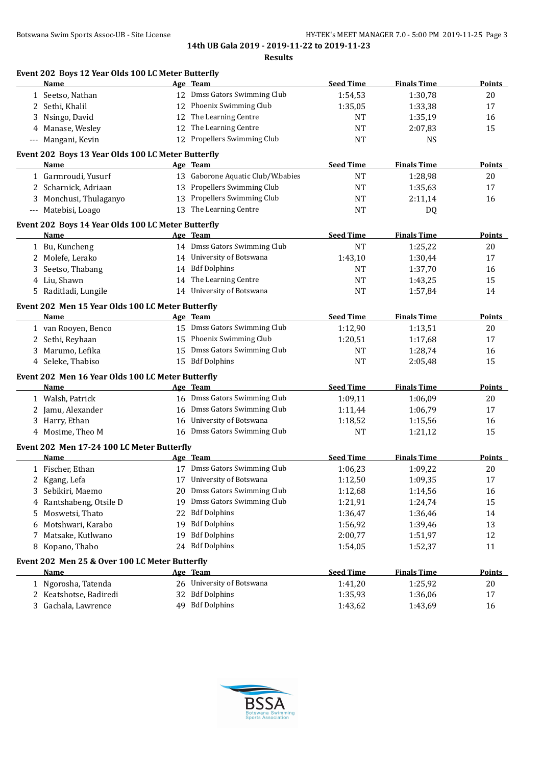| Name                                               |    | Age Team                          | <b>Seed Time</b> | <b>Finals Time</b> | Points        |
|----------------------------------------------------|----|-----------------------------------|------------------|--------------------|---------------|
| 1 Seetso, Nathan                                   |    | 12 Dmss Gators Swimming Club      | 1:54,53          | 1:30,78            | 20            |
| 2 Sethi, Khalil                                    |    | 12 Phoenix Swimming Club          | 1:35,05          | 1:33,38            | 17            |
| 3 Nsingo, David                                    | 12 | The Learning Centre               | <b>NT</b>        | 1:35,19            | 16            |
| Manase, Wesley<br>4                                | 12 | The Learning Centre               | <b>NT</b>        | 2:07,83            | 15            |
| Mangani, Kevin<br>---                              | 12 | Propellers Swimming Club          | <b>NT</b>        | <b>NS</b>          |               |
| Event 202 Boys 13 Year Olds 100 LC Meter Butterfly |    |                                   |                  |                    |               |
| Name                                               |    | Age Team                          | <b>Seed Time</b> | <b>Finals Time</b> | Points        |
| 1 Garmroudi, Yusurf                                |    | 13 Gaborone Aquatic Club/W.babies | <b>NT</b>        | 1:28,98            | 20            |
| 2 Scharnick, Adriaan                               |    | 13 Propellers Swimming Club       | <b>NT</b>        | 1:35,63            | 17            |
| 3 Monchusi, Thulaganyo                             |    | 13 Propellers Swimming Club       | NT               | 2:11,14            | 16            |
| --- Matebisi, Loago                                |    | 13 The Learning Centre            | NT               | DQ                 |               |
| Event 202 Boys 14 Year Olds 100 LC Meter Butterfly |    |                                   |                  |                    |               |
| Name                                               |    | Age Team                          | <b>Seed Time</b> | <b>Finals Time</b> | <b>Points</b> |
| 1 Bu, Kuncheng                                     |    | 14 Dmss Gators Swimming Club      | <b>NT</b>        | 1:25,22            | 20            |
| 2 Molefe, Lerako                                   |    | 14 University of Botswana         | 1:43,10          | 1:30,44            | 17            |
| 3 Seetso, Thabang                                  |    | 14 Bdf Dolphins                   | NT               | 1:37,70            | 16            |
| 4 Liu, Shawn                                       |    | 14 The Learning Centre            | NT               | 1:43,25            | 15            |
| 5 Raditladi, Lungile                               |    | 14 University of Botswana         | <b>NT</b>        | 1:57,84            | 14            |
| Event 202 Men 15 Year Olds 100 LC Meter Butterfly  |    |                                   |                  |                    |               |
| Name                                               |    | Age Team                          | <b>Seed Time</b> | <b>Finals Time</b> | <b>Points</b> |
| 1 van Rooyen, Benco                                |    | 15 Dmss Gators Swimming Club      | 1:12,90          | 1:13,51            | 20            |
| 2 Sethi, Reyhaan                                   |    | 15 Phoenix Swimming Club          | 1:20,51          | 1:17,68            | 17            |
| 3 Marumo, Lefika                                   |    | 15 Dmss Gators Swimming Club      | NT               | 1:28,74            | 16            |
| 4 Seleke, Thabiso                                  |    | 15 Bdf Dolphins                   | <b>NT</b>        | 2:05,48            | 15            |
| Event 202 Men 16 Year Olds 100 LC Meter Butterfly  |    |                                   |                  |                    |               |
| Name                                               |    | Age Team                          | <b>Seed Time</b> | <b>Finals Time</b> | <b>Points</b> |
| 1 Walsh, Patrick                                   |    | 16 Dmss Gators Swimming Club      | 1:09,11          | 1:06,09            | 20            |
| 2 Jamu, Alexander                                  | 16 | Dmss Gators Swimming Club         | 1:11,44          | 1:06,79            | 17            |
| 3 Harry, Ethan                                     | 16 | University of Botswana            | 1:18,52          | 1:15,56            | 16            |
| 4 Mosime, Theo M                                   |    | 16 Dmss Gators Swimming Club      | NT               | 1:21,12            | 15            |
| Event 202 Men 17-24 100 LC Meter Butterfly         |    |                                   |                  |                    |               |
| Name                                               |    | Age Team                          | <b>Seed Time</b> | <b>Finals Time</b> | Points        |
| 1 Fischer, Ethan                                   |    | 17 Dmss Gators Swimming Club      | 1:06,23          | 1:09,22            | 20            |
| 2 Kgang, Lefa                                      |    | 17 University of Botswana         | 1:12,50          | 1:09,35            | 17            |
| 3 Sebikiri, Maemo                                  | 20 | Dmss Gators Swimming Club         | 1:12,68          | 1:14,56            | 16            |
| 4 Rantshabeng, Otsile D                            | 19 | Dmss Gators Swimming Club         | 1:21,91          | 1:24,74            | 15            |
| Moswetsi, Thato<br>5                               | 22 | <b>Bdf Dolphins</b>               | 1:36,47          | 1:36,46            | 14            |
| Motshwari, Karabo<br>6                             | 19 | <b>Bdf Dolphins</b>               | 1:56,92          | 1:39,46            | 13            |
| 7 Matsake, Kutlwano                                | 19 | <b>Bdf Dolphins</b>               | 2:00,77          | 1:51,97            | 12            |
| 8 Kopano, Thabo                                    |    | 24 Bdf Dolphins                   | 1:54,05          | 1:52,37            | 11            |
| Event 202 Men 25 & Over 100 LC Meter Butterfly     |    |                                   |                  |                    |               |
| Name                                               |    | Age Team                          | <b>Seed Time</b> | <b>Finals Time</b> | <b>Points</b> |
| 1 Ngorosha, Tatenda                                |    | 26 University of Botswana         | 1:41,20          | 1:25,92            | 20            |
| 2 Keatshotse, Badiredi                             | 32 | <b>Bdf Dolphins</b>               | 1:35,93          | 1:36,06            | 17            |
| 3 Gachala, Lawrence                                |    | 49 Bdf Dolphins                   | 1:43,62          | 1:43,69            | 16            |
|                                                    |    |                                   |                  |                    |               |

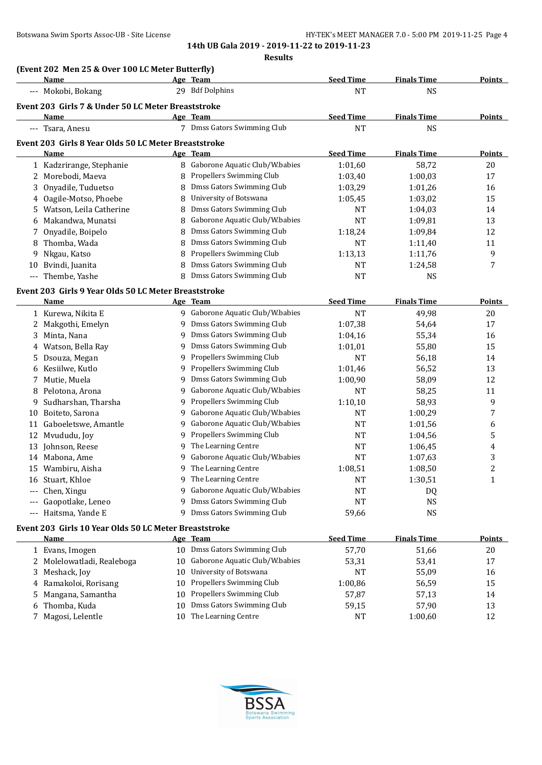**(Event 202 Men 25 & Over 100 LC Meter Butterfly)**

**14th UB Gala 2019 - 2019-11-22 to 2019-11-23**

**Results**

|    | Name                                                  |        | Age Team                                     | <b>Seed Time</b>     | <b>Finals Time</b> | <b>Points</b>                           |
|----|-------------------------------------------------------|--------|----------------------------------------------|----------------------|--------------------|-----------------------------------------|
|    | --- Mokobi, Bokang                                    |        | 29 Bdf Dolphins                              | <b>NT</b>            | <b>NS</b>          |                                         |
|    | Event 203 Girls 7 & Under 50 LC Meter Breaststroke    |        |                                              |                      |                    |                                         |
|    | Name                                                  |        | Age Team                                     | <b>Seed Time</b>     | <b>Finals Time</b> | <b>Points</b>                           |
|    | --- Tsara, Anesu                                      |        | 7 Dmss Gators Swimming Club                  | <b>NT</b>            | <b>NS</b>          |                                         |
|    | Event 203 Girls 8 Year Olds 50 LC Meter Breaststroke  |        |                                              |                      |                    |                                         |
|    | Name                                                  |        | Age Team                                     | <b>Seed Time</b>     | <b>Finals Time</b> | <b>Points</b>                           |
|    | 1 Kadzrirange, Stephanie                              |        | 8 Gaborone Aquatic Club/W.babies             | 1:01,60              | 58,72              | 20                                      |
| 2  | Morebodi, Maeva                                       | 8      | Propellers Swimming Club                     | 1:03,40              | 1:00,03            | 17                                      |
| 3  | Onyadile, Tuduetso                                    | 8      | Dmss Gators Swimming Club                    | 1:03,29              | 1:01,26            | 16                                      |
| 4  | Oagile-Motso, Phoebe                                  | 8      | University of Botswana                       | 1:05,45              | 1:03,02            | 15                                      |
| 5  | Watson, Leila Catherine                               | 8      | Dmss Gators Swimming Club                    | NT                   | 1:04,03            | 14                                      |
| 6  | Makandwa, Munatsi                                     | 8      | Gaborone Aquatic Club/W.babies               | <b>NT</b>            | 1:09,81            | 13                                      |
| 7  | Onyadile, Boipelo                                     | 8      | Dmss Gators Swimming Club                    | 1:18,24              | 1:09,84            | 12                                      |
| 8  | Thomba, Wada                                          | 8      | Dmss Gators Swimming Club                    | <b>NT</b>            | 1:11,40            | 11                                      |
| 9  | Nkgau, Katso                                          | 8      | Propellers Swimming Club                     | 1:13,13              | 1:11,76            | 9                                       |
| 10 | Bvindi, Juanita                                       | 8      | Dmss Gators Swimming Club                    | <b>NT</b>            | 1:24,58            | 7                                       |
|    | --- Thembe, Yashe                                     | 8      | Dmss Gators Swimming Club                    | <b>NT</b>            | <b>NS</b>          |                                         |
|    |                                                       |        |                                              |                      |                    |                                         |
|    | Event 203 Girls 9 Year Olds 50 LC Meter Breaststroke  |        |                                              |                      |                    |                                         |
|    | Name                                                  |        | Age Team<br>9 Gaborone Aquatic Club/W.babies | <b>Seed Time</b>     | <b>Finals Time</b> | <b>Points</b>                           |
|    | 1 Kurewa, Nikita E                                    |        | Dmss Gators Swimming Club                    | <b>NT</b>            | 49,98              | 20                                      |
| 2  | Makgothi, Emelyn                                      | 9.     | Dmss Gators Swimming Club                    | 1:07,38<br>1:04,16   | 54,64              | 17                                      |
| 3  | Minta, Nana                                           | 9      | Dmss Gators Swimming Club                    |                      | 55,34              | 16                                      |
| 4  | Watson, Bella Ray                                     | 9<br>9 | Propellers Swimming Club                     | 1:01,01<br><b>NT</b> | 55,80              | 15                                      |
| 5  | Dsouza, Megan                                         | 9      | Propellers Swimming Club                     |                      | 56,18              | 14                                      |
| 6  | Kesiilwe, Kutlo                                       | 9      | Dmss Gators Swimming Club                    | 1:01,46              | 56,52              | 13<br>12                                |
| 7  | Mutie, Muela                                          | 9      | Gaborone Aquatic Club/W.babies               | 1:00,90              | 58,09              |                                         |
| 8  | Pelotona, Arona                                       |        | Propellers Swimming Club                     | <b>NT</b>            | 58,25              | 11                                      |
| 9  | Sudharshan, Tharsha                                   | 9      | Gaborone Aquatic Club/W.babies               | 1:10,10              | 58,93              | 9                                       |
| 10 | Boiteto, Sarona                                       | 9      | Gaborone Aquatic Club/W.babies               | <b>NT</b>            | 1:00,29            | 7                                       |
|    | 11 Gaboeletswe, Amantle                               | 9      | Propellers Swimming Club                     | <b>NT</b>            | 1:01,56            | 6                                       |
| 12 | Mvududu, Joy                                          | 9      | The Learning Centre                          | <b>NT</b>            | 1:04,56            | 5                                       |
| 13 | Johnson, Reese                                        | 9<br>9 | Gaborone Aquatic Club/W.babies               | NT<br><b>NT</b>      | 1:06,45            | 4                                       |
|    | 14 Mabona, Ame<br>Wambiru, Aisha                      | 9      | The Learning Centre                          |                      | 1:07,63            | 3                                       |
| 15 | 16 Stuart, Khloe                                      | 9      | The Learning Centre                          | 1:08,51<br><b>NT</b> | 1:08,50            | $\overline{\mathbf{c}}$<br>$\mathbf{1}$ |
|    |                                                       | 9      | Gaborone Aquatic Club/W.babies               | <b>NT</b>            | 1:30,51            |                                         |
|    | Chen, Xingu                                           | 9      | Dmss Gators Swimming Club                    | <b>NT</b>            | DQ                 |                                         |
|    | Gaopotlake, Leneo                                     | 9      | Dmss Gators Swimming Club                    |                      | <b>NS</b>          |                                         |
|    | Haitsma, Yande E                                      |        |                                              | 59,66                | <b>NS</b>          |                                         |
|    | Event 203 Girls 10 Year Olds 50 LC Meter Breaststroke |        |                                              |                      |                    |                                         |
|    | <b>Name</b>                                           |        | Age Team                                     | <b>Seed Time</b>     | <b>Finals Time</b> | <b>Points</b>                           |
|    | 1 Evans, Imogen                                       |        | 10 Dmss Gators Swimming Club                 | 57,70                | 51,66              | 20                                      |
|    | 2 Molelowatladi, Realeboga                            | 10     | Gaborone Aquatic Club/W.babies               | 53,31                | 53,41              | 17                                      |
| 3  | Meshack, Joy                                          | 10     | University of Botswana                       | NT                   | 55,09              | 16                                      |
| 4  | Ramakoloi, Rorisang                                   | 10     | Propellers Swimming Club                     | 1:00,86              | 56,59              | 15                                      |
| 5  | Mangana, Samantha                                     | 10     | Propellers Swimming Club                     | 57,87                | 57,13              | 14                                      |
| 6  | Thomba, Kuda                                          | 10     | Dmss Gators Swimming Club                    | 59,15                | 57,90              | 13                                      |
|    | 7 Magosi, Lelentle                                    | 10     | The Learning Centre                          | <b>NT</b>            | 1:00,60            | 12                                      |

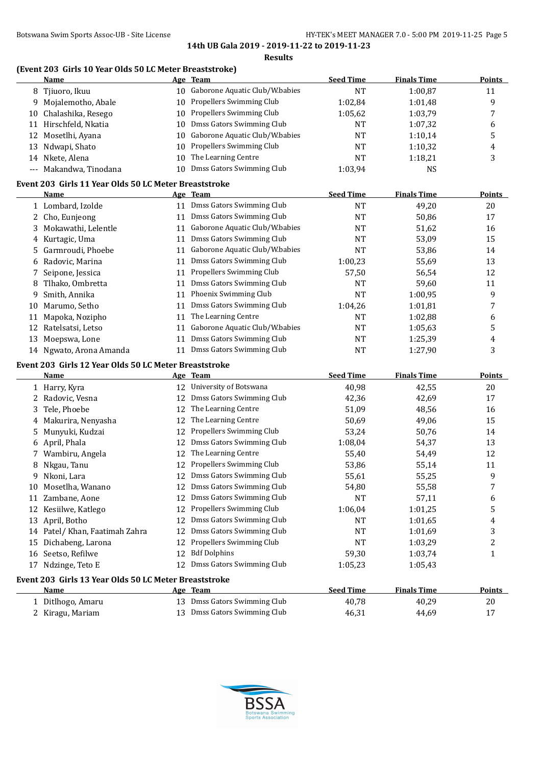#### Botswana Swim Sports Assoc-UB - Site License **HY-TEK's MEET MANAGER 7.0 - 5:00 PM 2019-11-25** Page 5

**14th UB Gala 2019 - 2019-11-22 to 2019-11-23**

#### **Results**

## **(Event 203 Girls 10 Year Olds 50 LC Meter Breaststroke)**

|    | <b>Name</b>                                                   |    | Age Team                       | <b>Seed Time</b> | <b>Finals Time</b> | <b>Points</b>           |
|----|---------------------------------------------------------------|----|--------------------------------|------------------|--------------------|-------------------------|
|    | 8 Tjiuoro, Ikuu                                               | 10 | Gaborone Aquatic Club/W.babies | <b>NT</b>        | 1:00,87            | 11                      |
|    | 9 Mojalemotho, Abale                                          | 10 | Propellers Swimming Club       | 1:02,84          | 1:01,48            | 9                       |
|    | 10 Chalashika, Resego                                         | 10 | Propellers Swimming Club       | 1:05,62          | 1:03,79            | 7                       |
|    | 11 Hirschfeld, Nkatia                                         | 10 | Dmss Gators Swimming Club      | <b>NT</b>        | 1:07,32            | 6                       |
|    | 12 Mosetlhi, Ayana                                            | 10 | Gaborone Aquatic Club/W.babies | <b>NT</b>        | 1:10,14            | 5                       |
| 13 | Ndwapi, Shato                                                 | 10 | Propellers Swimming Club       | <b>NT</b>        | 1:10,32            | $\overline{\mathbf{4}}$ |
|    | 14 Nkete, Alena                                               | 10 | The Learning Centre            | <b>NT</b>        | 1:18,21            | 3                       |
|    | Makandwa, Tinodana                                            | 10 | Dmss Gators Swimming Club      | 1:03,94          | <b>NS</b>          |                         |
|    |                                                               |    |                                |                  |                    |                         |
|    | Event 203 Girls 11 Year Olds 50 LC Meter Breaststroke<br>Name |    | Age Team                       | <b>Seed Time</b> | <b>Finals Time</b> | <b>Points</b>           |
|    | 1 Lombard, Izolde                                             |    | 11 Dmss Gators Swimming Club   | <b>NT</b>        | 49,20              | 20                      |
|    | 2 Cho, Eunjeong                                               |    | 11 Dmss Gators Swimming Club   | <b>NT</b>        | 50,86              | 17                      |
|    | Mokawathi, Lelentle                                           | 11 | Gaborone Aquatic Club/W.babies |                  |                    |                         |
| 3  |                                                               |    | Dmss Gators Swimming Club      | <b>NT</b>        | 51,62              | 16                      |
| 4  | Kurtagic, Uma                                                 | 11 |                                | <b>NT</b>        | 53,09              | 15                      |
| 5  | Garmroudi, Phoebe                                             | 11 | Gaborone Aquatic Club/W.babies | <b>NT</b>        | 53,86              | 14                      |
| 6  | Radovic, Marina                                               | 11 | Dmss Gators Swimming Club      | 1:00,23          | 55,69              | 13                      |
| 7  | Seipone, Jessica                                              | 11 | Propellers Swimming Club       | 57,50            | 56,54              | 12                      |
| 8  | Tlhako, Ombretta                                              | 11 | Dmss Gators Swimming Club      | <b>NT</b>        | 59,60              | 11                      |
| 9  | Smith, Annika                                                 | 11 | Phoenix Swimming Club          | <b>NT</b>        | 1:00,95            | 9                       |
| 10 | Marumo, Setho                                                 | 11 | Dmss Gators Swimming Club      | 1:04,26          | 1:01,81            | 7                       |
| 11 | Mapoka, Nozipho                                               | 11 | The Learning Centre            | <b>NT</b>        | 1:02,88            | 6                       |
| 12 | Ratelsatsi, Letso                                             | 11 | Gaborone Aquatic Club/W.babies | <b>NT</b>        | 1:05,63            | 5                       |
| 13 | Moepswa, Lone                                                 | 11 | Dmss Gators Swimming Club      | <b>NT</b>        | 1:25,39            | 4                       |
|    | 14 Ngwato, Arona Amanda                                       | 11 | Dmss Gators Swimming Club      | <b>NT</b>        | 1:27,90            | 3                       |
|    | Event 203 Girls 12 Year Olds 50 LC Meter Breaststroke         |    |                                |                  |                    |                         |
|    | Name                                                          |    | Age Team                       | <b>Seed Time</b> | <b>Finals Time</b> | <b>Points</b>           |
|    | 1 Harry, Kyra                                                 | 12 | University of Botswana         | 40,98            | 42,55              | $20\,$                  |
|    | 2 Radovic, Vesna                                              | 12 | Dmss Gators Swimming Club      | 42,36            | 42,69              | 17                      |
| 3  | Tele, Phoebe                                                  | 12 | The Learning Centre            | 51,09            | 48,56              | 16                      |
|    | Makurira, Nenyasha                                            | 12 | The Learning Centre            | 50,69            | 49,06              | 15                      |
| 5  | Munyuki, Kudzai                                               | 12 | Propellers Swimming Club       | 53,24            | 50,76              | 14                      |
| 6  | April, Phala                                                  | 12 | Dmss Gators Swimming Club      | 1:08,04          | 54,37              | 13                      |
| 7  | Wambiru, Angela                                               | 12 | The Learning Centre            | 55,40            | 54,49              | 12                      |
|    |                                                               | 12 | Propellers Swimming Club       |                  |                    |                         |
| 8  | Nkgau, Tanu                                                   |    | 12 Dmss Gators Swimming Club   | 53,86            | 55,14              | 11                      |
| 9. | Nkoni, Lara                                                   |    |                                | 55,61            | 55,25              | 9                       |
|    | 10 Mosetlha, Wanano                                           |    | 12 Dmss Gators Swimming Club   | 54,80            | 55,58              | 7                       |
|    | 11 Zambane, Aone                                              | 12 | Dmss Gators Swimming Club      | NT               | 57,11              | 6                       |
|    | 12 Kesiilwe, Katlego                                          | 12 | Propellers Swimming Club       | 1:06,04          | 1:01,25            | 5                       |
|    | 13 April, Botho                                               | 12 | Dmss Gators Swimming Club      | NT               | 1:01,65            | 4                       |
|    | 14 Patel/ Khan, Faatimah Zahra                                | 12 | Dmss Gators Swimming Club      | <b>NT</b>        | 1:01,69            | 3                       |
| 15 | Dichabeng, Larona                                             | 12 | Propellers Swimming Club       | <b>NT</b>        | 1:03,29            | 2                       |
| 16 | Seetso, Refilwe                                               | 12 | <b>Bdf Dolphins</b>            | 59,30            | 1:03,74            | 1                       |
|    | 17 Ndzinge, Teto E                                            | 12 | Dmss Gators Swimming Club      | 1:05,23          | 1:05,43            |                         |
|    | Event 203 Girls 13 Year Olds 50 LC Meter Breaststroke         |    |                                |                  |                    |                         |
|    | <b>Name</b>                                                   |    | Age Team                       | <b>Seed Time</b> | <b>Finals Time</b> | <b>Points</b>           |
|    | 1 Ditlhogo, Amaru                                             |    | 13 Dmss Gators Swimming Club   | 40,78            | 40,29              | 20                      |
|    | 2 Kiragu, Mariam                                              |    | 13 Dmss Gators Swimming Club   | 46,31            | 44,69              | 17                      |

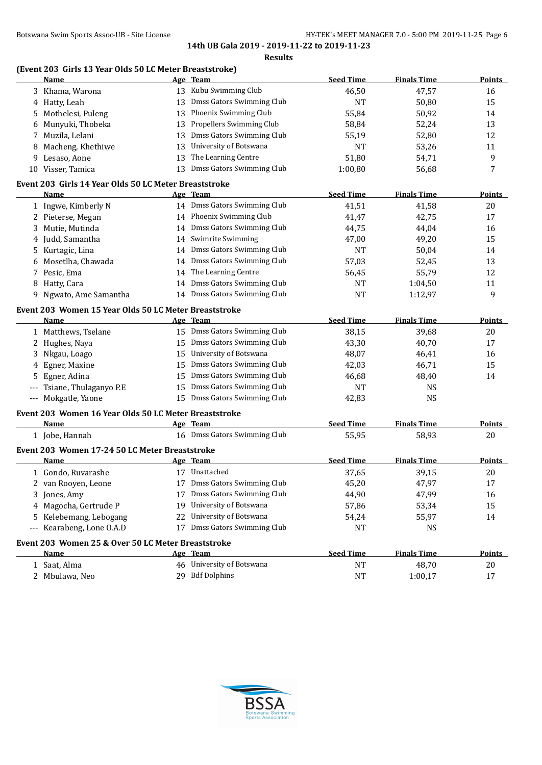## **(Event 203 Girls 13 Year Olds 50 LC Meter Breaststroke)**

|   | <b>Name</b>                                           |    | Age Team                     | <b>Seed Time</b> | <b>Finals Time</b> | <b>Points</b> |
|---|-------------------------------------------------------|----|------------------------------|------------------|--------------------|---------------|
|   | 3 Khama, Warona                                       |    | 13 Kubu Swimming Club        | 46,50            | 47,57              | 16            |
|   | 4 Hatty, Leah                                         | 13 | Dmss Gators Swimming Club    | <b>NT</b>        | 50,80              | 15            |
| 5 | Mothelesi, Puleng                                     | 13 | Phoenix Swimming Club        | 55,84            | 50,92              | 14            |
| 6 | Munyuki, Thobeka                                      | 13 | Propellers Swimming Club     | 58,84            | 52,24              | 13            |
| 7 | Muzila, Lelani                                        | 13 | Dmss Gators Swimming Club    | 55,19            | 52,80              | 12            |
| 8 | Macheng, Khethiwe                                     | 13 | University of Botswana       | <b>NT</b>        | 53,26              | 11            |
| 9 | Lesaso, Aone                                          | 13 | The Learning Centre          | 51,80            | 54,71              | 9             |
|   | 10 Visser, Tamica                                     | 13 | Dmss Gators Swimming Club    | 1:00,80          | 56,68              | 7             |
|   | Event 203 Girls 14 Year Olds 50 LC Meter Breaststroke |    |                              |                  |                    |               |
|   | <b>Name</b>                                           |    | Age Team                     | <b>Seed Time</b> | <b>Finals Time</b> | <b>Points</b> |
|   | 1 Ingwe, Kimberly N                                   |    | 14 Dmss Gators Swimming Club | 41,51            | 41,58              | 20            |
|   | 2 Pieterse, Megan                                     |    | 14 Phoenix Swimming Club     | 41,47            | 42,75              | 17            |
| 3 | Mutie, Mutinda                                        |    | 14 Dmss Gators Swimming Club | 44,75            | 44,04              | 16            |
|   | 4 Judd, Samantha                                      |    | 14 Swimrite Swimming         | 47,00            | 49,20              | 15            |
|   | 5 Kurtagic, Lina                                      |    | 14 Dmss Gators Swimming Club | <b>NT</b>        | 50,04              | 14            |
|   | 6 Mosetlha, Chawada                                   |    | 14 Dmss Gators Swimming Club | 57,03            | 52,45              | 13            |
|   | 7 Pesic, Ema                                          |    | 14 The Learning Centre       | 56,45            | 55,79              | 12            |
|   | 8 Hatty, Cara                                         |    | 14 Dmss Gators Swimming Club | <b>NT</b>        | 1:04,50            | 11            |
|   | 9 Ngwato, Ame Samantha                                |    | 14 Dmss Gators Swimming Club | <b>NT</b>        | 1:12,97            | 9             |
|   | Event 203 Women 15 Year Olds 50 LC Meter Breaststroke |    |                              |                  |                    |               |
|   | Name                                                  |    | Age Team                     | <b>Seed Time</b> | <b>Finals Time</b> | <b>Points</b> |
|   | 1 Matthews, Tselane                                   |    | 15 Dmss Gators Swimming Club | 38,15            | 39,68              | 20            |
|   | 2 Hughes, Naya                                        | 15 | Dmss Gators Swimming Club    | 43,30            | 40,70              | 17            |
|   | 3 Nkgau, Loago                                        | 15 | University of Botswana       | 48,07            | 46,41              | 16            |
|   | 4 Egner, Maxine                                       | 15 | Dmss Gators Swimming Club    | 42,03            | 46,71              | 15            |
|   | 5 Egner, Adina                                        | 15 | Dmss Gators Swimming Club    | 46,68            | 48,40              | 14            |
|   | Tsiane, Thulaganyo P.E                                | 15 | Dmss Gators Swimming Club    | <b>NT</b>        | <b>NS</b>          |               |
|   | --- Mokgatle, Yaone                                   |    | 15 Dmss Gators Swimming Club | 42,83            | <b>NS</b>          |               |
|   | Event 203 Women 16 Year Olds 50 LC Meter Breaststroke |    |                              |                  |                    |               |
|   | <u>Name</u>                                           |    | Age Team                     | <b>Seed Time</b> | <b>Finals Time</b> | <b>Points</b> |
|   | 1 Jobe, Hannah                                        |    | 16 Dmss Gators Swimming Club | 55,95            | 58,93              | 20            |
|   | Event 203 Women 17-24 50 LC Meter Breaststroke        |    |                              |                  |                    |               |
|   | Name                                                  |    | Age Team                     | <b>Seed Time</b> | <b>Finals Time</b> | <b>Points</b> |
|   | 1 Gondo, Ruvarashe                                    |    | 17 Unattached                | 37,65            | 39,15              | 20            |
|   | 2 van Rooyen, Leone                                   |    | 17 Dmss Gators Swimming Club | 45,20            | 47,97              | 17            |
|   | 3 Jones, Amy                                          |    | 17 Dmss Gators Swimming Club | 44,90            | 47,99              | 16            |
|   | 4 Magocha, Gertrude P                                 |    | 19 University of Botswana    | 57,86            | 53,34              | 15            |
|   | 5 Kelebemang, Lebogang                                |    | 22 University of Botswana    | 54,24            | 55,97              | 14            |
|   | --- Kearabeng, Lone O.A.D                             |    | 17 Dmss Gators Swimming Club | NT               | <b>NS</b>          |               |
|   | Event 203 Women 25 & Over 50 LC Meter Breaststroke    |    |                              |                  |                    |               |
|   | Name                                                  |    | Age Team                     | <b>Seed Time</b> | <b>Finals Time</b> | <b>Points</b> |
|   | 1 Saat, Alma                                          |    | 46 University of Botswana    | <b>NT</b>        | 48,70              | 20            |
|   | 2 Mbulawa, Neo                                        |    | 29 Bdf Dolphins              | <b>NT</b>        | 1:00,17            | 17            |
|   |                                                       |    |                              |                  |                    |               |

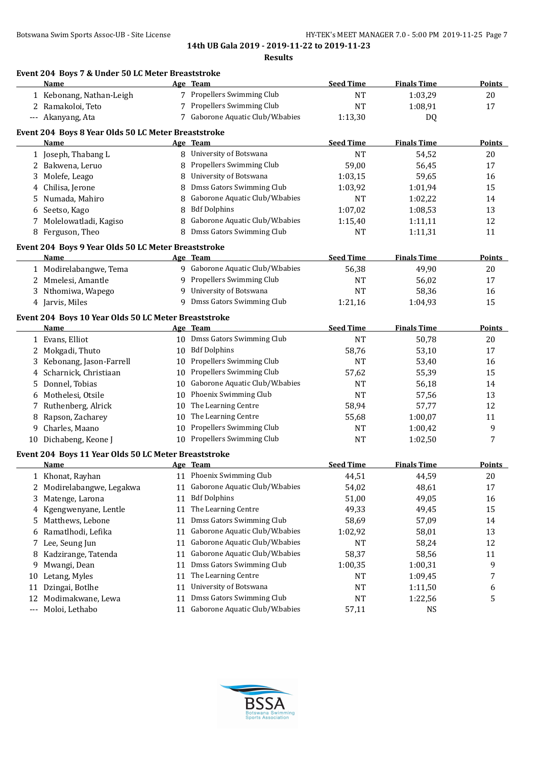**14th UB Gala 2019 - 2019-11-22 to 2019-11-23**

**Results**

|                   | Event 204 Boys 7 & Under 50 LC Meter Breaststroke           |    |                                  |                  |                    |               |
|-------------------|-------------------------------------------------------------|----|----------------------------------|------------------|--------------------|---------------|
|                   | Name                                                        |    | Age Team                         | <b>Seed Time</b> | <b>Finals Time</b> | Points        |
|                   | 1 Kebonang, Nathan-Leigh                                    |    | 7 Propellers Swimming Club       | <b>NT</b>        | 1:03,29            | 20            |
|                   | 2 Ramakoloi, Teto                                           |    | 7 Propellers Swimming Club       | <b>NT</b>        | 1:08,91            | 17            |
|                   | --- Akanyang, Ata                                           |    | 7 Gaborone Aquatic Club/W.babies | 1:13,30          | DQ                 |               |
|                   | Event 204 Boys 8 Year Olds 50 LC Meter Breaststroke         |    |                                  |                  |                    |               |
|                   | Name                                                        |    | Age Team                         | <b>Seed Time</b> | <b>Finals Time</b> | <b>Points</b> |
|                   | 1 Joseph, Thabang L                                         |    | 8 University of Botswana         | <b>NT</b>        | 54,52              | 20            |
|                   | 2 Bakwena, Leruo                                            | 8  | Propellers Swimming Club         | 59,00            | 56,45              | 17            |
|                   | 3 Molefe, Leago                                             | 8  | University of Botswana           | 1:03,15          | 59,65              | 16            |
|                   | 4 Chilisa, Jerone                                           | 8  | Dmss Gators Swimming Club        | 1:03,92          | 1:01,94            | 15            |
|                   | 5 Numada, Mahiro                                            | 8  | Gaborone Aquatic Club/W.babies   | <b>NT</b>        | 1:02,22            | 14            |
|                   | 6 Seetso, Kago                                              | 8  | <b>Bdf Dolphins</b>              | 1:07,02          | 1:08,53            | 13            |
|                   | 7 Molelowatladi, Kagiso                                     | 8  | Gaborone Aquatic Club/W.babies   | 1:15,40          | 1:11,11            | 12            |
|                   | 8 Ferguson, Theo                                            | 8  | Dmss Gators Swimming Club        | NT               | 1:11,31            | 11            |
|                   |                                                             |    |                                  |                  |                    |               |
|                   | Event 204 Boys 9 Year Olds 50 LC Meter Breaststroke<br>Name |    | Age Team                         | <b>Seed Time</b> | <b>Finals Time</b> | <b>Points</b> |
|                   | 1 Modirelabangwe, Tema                                      |    | 9 Gaborone Aquatic Club/W.babies | 56,38            | 49,90              | 20            |
|                   | 2 Mmelesi, Amantle                                          |    | 9 Propellers Swimming Club       | NT               |                    | 17            |
|                   |                                                             | 9  | University of Botswana           | <b>NT</b>        | 56,02<br>58,36     |               |
|                   | 3 Nthomiwa, Wapego<br>4 Jarvis, Miles                       |    | 9 Dmss Gators Swimming Club      |                  |                    | 16<br>15      |
|                   |                                                             |    |                                  | 1:21,16          | 1:04,93            |               |
|                   | Event 204 Boys 10 Year Olds 50 LC Meter Breaststroke        |    |                                  |                  |                    |               |
|                   | Name                                                        |    | Age Team                         | <b>Seed Time</b> | <b>Finals Time</b> | <b>Points</b> |
|                   | 1 Evans, Elliot                                             |    | 10 Dmss Gators Swimming Club     | <b>NT</b>        | 50,78              | 20            |
|                   | 2 Mokgadi, Thuto                                            |    | 10 Bdf Dolphins                  | 58,76            | 53,10              | 17            |
|                   | 3 Kebonang, Jason-Farrell                                   | 10 | Propellers Swimming Club         | NT               | 53,40              | 16            |
|                   | 4 Scharnick, Christiaan                                     | 10 | Propellers Swimming Club         | 57,62            | 55,39              | 15            |
|                   | 5 Donnel, Tobias                                            | 10 | Gaborone Aquatic Club/W.babies   | NT               | 56,18              | 14            |
|                   | 6 Mothelesi, Otsile                                         | 10 | Phoenix Swimming Club            | <b>NT</b>        | 57,56              | 13            |
|                   | 7 Ruthenberg, Alrick                                        | 10 | The Learning Centre              | 58,94            | 57,77              | 12            |
| 8                 | Rapson, Zacharey                                            | 10 | The Learning Centre              | 55,68            | 1:00,07            | 11            |
| 9                 | Charles, Maano                                              |    | 10 Propellers Swimming Club      | <b>NT</b>        | 1:00,42            | 9             |
|                   | 10 Dichabeng, Keone J                                       |    | 10 Propellers Swimming Club      | <b>NT</b>        | 1:02,50            | 7             |
|                   | Event 204 Boys 11 Year Olds 50 LC Meter Breaststroke        |    |                                  |                  |                    |               |
|                   | <b>Name</b>                                                 |    | Age Team                         | <b>Seed Time</b> | <b>Finals Time</b> | <b>Points</b> |
|                   | 1 Khonat, Rayhan                                            |    | 11 Phoenix Swimming Club         | 44,51            | 44,59              | 20            |
|                   | 2 Modirelabangwe, Legakwa                                   | 11 | Gaborone Aquatic Club/W.babies   | 54,02            | 48,61              | 17            |
|                   | 3 Matenge, Larona                                           | 11 | <b>Bdf Dolphins</b>              | 51,00            | 49,05              | 16            |
|                   | 4 Kgengwenyane, Lentle                                      | 11 | The Learning Centre              | 49,33            | 49,45              | 15            |
| 5.                | Matthews, Lebone                                            | 11 | Dmss Gators Swimming Club        | 58,69            | 57,09              | 14            |
| 6                 | Ramatlhodi, Lefika                                          | 11 | Gaborone Aquatic Club/W.babies   | 1:02,92          | 58,01              | 13            |
|                   | 7 Lee, Seung Jun                                            | 11 | Gaborone Aquatic Club/W.babies   | <b>NT</b>        | 58,24              | 12            |
| 8                 | Kadzirange, Tatenda                                         | 11 | Gaborone Aquatic Club/W.babies   | 58,37            | 58,56              | 11            |
| 9                 | Mwangi, Dean                                                | 11 | Dmss Gators Swimming Club        | 1:00,35          | 1:00,31            | 9             |
| 10                | Letang, Myles                                               | 11 | The Learning Centre              | NT               | 1:09,45            | 7             |
| 11                | Dzingai, Botlhe                                             | 11 | University of Botswana           | NT               | 1:11,50            | 6             |
| 12                | Modimakwane, Lewa                                           | 11 | Dmss Gators Swimming Club        | <b>NT</b>        | 1:22,56            | 5             |
| $\qquad \qquad -$ | Moloi, Lethabo                                              | 11 | Gaborone Aquatic Club/W.babies   | 57,11            | NS                 |               |
|                   |                                                             |    |                                  |                  |                    |               |

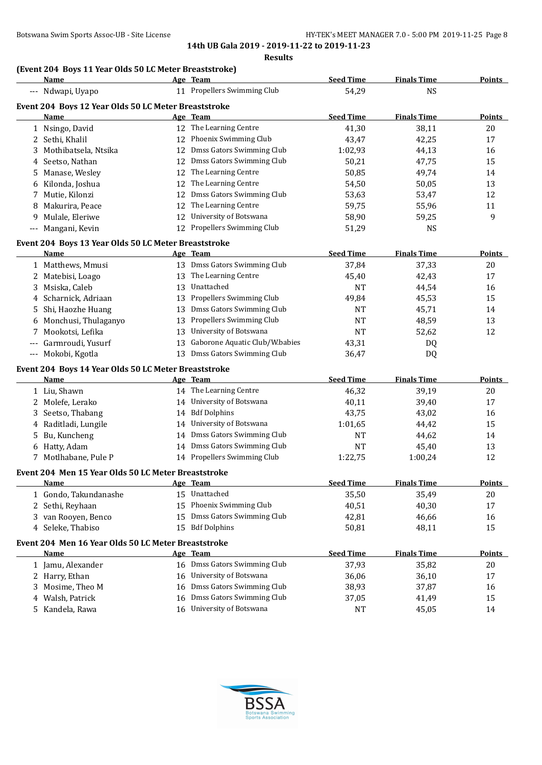**14th UB Gala 2019 - 2019-11-22 to 2019-11-23**

#### **Results**

# **(Event 204 Boys 11 Year Olds 50 LC Meter Breaststroke)**

| Name                                                         |    | Age Team                       | <b>Seed Time</b>   | <b>Finals Time</b> | <b>Points</b> |
|--------------------------------------------------------------|----|--------------------------------|--------------------|--------------------|---------------|
| --- Ndwapi, Uyapo                                            |    | 11 Propellers Swimming Club    | 54,29              | <b>NS</b>          |               |
| Event 204 Boys 12 Year Olds 50 LC Meter Breaststroke         |    |                                |                    |                    |               |
| Name                                                         |    | Age Team                       | <b>Seed Time</b>   | <b>Finals Time</b> | Points        |
| 1 Nsingo, David                                              |    | 12 The Learning Centre         | 41,30              | 38,11              | 20            |
| 2 Sethi, Khalil                                              |    | 12 Phoenix Swimming Club       | 43,47              | 42,25              | 17            |
| 3 Mothibatsela, Ntsika                                       |    | 12 Dmss Gators Swimming Club   | 1:02,93            | 44,13              | 16            |
| Seetso, Nathan<br>4                                          |    | 12 Dmss Gators Swimming Club   | 50,21              | 47,75              | 15            |
| Manase, Wesley<br>5                                          | 12 | The Learning Centre            | 50,85              | 49,74              | 14            |
| 6 Kilonda, Joshua                                            | 12 | The Learning Centre            | 54,50              | 50,05              | 13            |
| Mutie, Kilonzi<br>7                                          | 12 | Dmss Gators Swimming Club      | 53,63              | 53,47              | 12            |
| 8 Makurira, Peace                                            | 12 | The Learning Centre            | 59,75              | 55,96              | 11            |
| Mulale, Eleriwe<br>9.                                        | 12 | University of Botswana         | 58,90              | 59,25              | 9             |
| --- Mangani, Kevin                                           |    | 12 Propellers Swimming Club    | 51,29              | <b>NS</b>          |               |
|                                                              |    |                                |                    |                    |               |
| Event 204 Boys 13 Year Olds 50 LC Meter Breaststroke<br>Name |    | Age Team                       | <b>Seed Time</b>   | <b>Finals Time</b> | <b>Points</b> |
| 1 Matthews, Mmusi                                            |    | 13 Dmss Gators Swimming Club   | 37,84              | 37,33              | 20            |
|                                                              |    | 13 The Learning Centre         |                    | 42,43              | 17            |
| 2 Matebisi, Loago<br>3 Msiska, Caleb                         |    | 13 Unattached                  | 45,40<br><b>NT</b> | 44,54              | 16            |
| 4 Scharnick, Adriaan                                         | 13 | Propellers Swimming Club       |                    | 45,53              | 15            |
| Shi, Haozhe Huang<br>5.                                      | 13 | Dmss Gators Swimming Club      | 49,84<br><b>NT</b> | 45,71              | 14            |
|                                                              | 13 | Propellers Swimming Club       | <b>NT</b>          | 48,59              | 13            |
| 6 Monchusi, Thulaganyo<br>Mookotsi, Lefika<br>7              | 13 | University of Botswana         | <b>NT</b>          | 52,62              | 12            |
| Garmroudi, Yusurf                                            | 13 | Gaborone Aquatic Club/W.babies |                    |                    |               |
| --- Mokobi, Kgotla                                           |    | 13 Dmss Gators Swimming Club   | 43,31<br>36,47     | DQ<br>DQ           |               |
|                                                              |    |                                |                    |                    |               |
| Event 204 Boys 14 Year Olds 50 LC Meter Breaststroke         |    |                                |                    |                    |               |
| Name                                                         |    | Age Team                       | <b>Seed Time</b>   | <b>Finals Time</b> | Points        |
| 1 Liu, Shawn                                                 |    | 14 The Learning Centre         | 46,32              | 39,19              | 20            |
| 2 Molefe, Lerako                                             |    | 14 University of Botswana      | 40,11              | 39,40              | 17            |
| Seetso, Thabang<br>3                                         |    | 14 Bdf Dolphins                | 43,75              | 43,02              | 16            |
| 4 Raditladi, Lungile                                         |    | 14 University of Botswana      | 1:01,65            | 44,42              | 15            |
| Bu, Kuncheng<br>5.                                           |    | 14 Dmss Gators Swimming Club   | NT                 | 44,62              | 14            |
| 6 Hatty, Adam                                                |    | 14 Dmss Gators Swimming Club   | <b>NT</b>          | 45,40              | 13            |
| 7 Motlhabane, Pule P                                         |    | 14 Propellers Swimming Club    | 1:22,75            | 1:00,24            | 12            |
| Event 204 Men 15 Year Olds 50 LC Meter Breaststroke          |    |                                |                    |                    |               |
| Name                                                         |    | Age Team                       | <b>Seed Time</b>   | <b>Finals Time</b> | Points        |
| 1 Gondo, Takundanashe                                        |    | 15 Unattached                  | 35,50              | 35,49              | 20            |
| Sethi, Reyhaan<br>2                                          | 15 | Phoenix Swimming Club          | 40,51              | 40,30              | 17            |
| 3 van Rooyen, Benco                                          | 15 | Dmss Gators Swimming Club      | 42,81              | 46,66              | 16            |
| 4 Seleke, Thabiso                                            |    | 15 Bdf Dolphins                | 50,81              | 48,11              | 15            |
| Event 204 Men 16 Year Olds 50 LC Meter Breaststroke          |    |                                |                    |                    |               |
| Name                                                         |    | Age Team                       | <b>Seed Time</b>   | <b>Finals Time</b> | <b>Points</b> |
| 1 Jamu, Alexander                                            |    | 16 Dmss Gators Swimming Club   | 37,93              | 35,82              | 20            |
| 2 Harry, Ethan                                               |    | 16 University of Botswana      | 36,06              | 36,10              | 17            |
| Mosime, Theo M<br>3                                          | 16 | Dmss Gators Swimming Club      | 38,93              | 37,87              | 16            |
| Walsh, Patrick<br>4                                          | 16 | Dmss Gators Swimming Club      | 37,05              | 41,49              | 15            |
| 5 Kandela, Rawa                                              |    | 16 University of Botswana      | <b>NT</b>          | 45,05              | 14            |
|                                                              |    |                                |                    |                    |               |

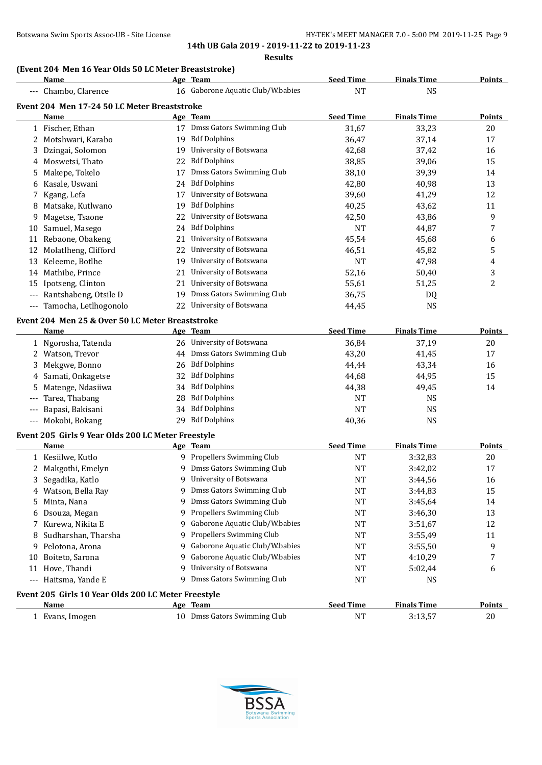#### **(Event 204 Men 16 Year Olds 50 LC Meter Breaststroke)**

|       | Name                                                |    | Age Team                          | <b>Seed Time</b> | <b>Finals Time</b> | <b>Points</b>  |
|-------|-----------------------------------------------------|----|-----------------------------------|------------------|--------------------|----------------|
|       | --- Chambo, Clarence                                |    | 16 Gaborone Aquatic Club/W.babies | <b>NT</b>        | <b>NS</b>          |                |
|       | Event 204 Men 17-24 50 LC Meter Breaststroke        |    |                                   |                  |                    |                |
|       | <b>Name</b>                                         |    | Age Team                          | <b>Seed Time</b> | <b>Finals Time</b> | Points         |
|       | 1 Fischer, Ethan                                    |    | 17 Dmss Gators Swimming Club      | 31,67            | 33,23              | 20             |
|       | 2 Motshwari, Karabo                                 |    | 19 Bdf Dolphins                   | 36,47            | 37,14              | 17             |
| 3     | Dzingai, Solomon                                    | 19 | University of Botswana            | 42,68            | 37,42              | 16             |
| 4     | Moswetsi, Thato                                     | 22 | <b>Bdf Dolphins</b>               | 38,85            | 39,06              | 15             |
| 5     | Makepe, Tokelo                                      | 17 | Dmss Gators Swimming Club         | 38,10            | 39,39              | 14             |
| 6     | Kasale, Uswani                                      | 24 | <b>Bdf Dolphins</b>               | 42,80            | 40,98              | 13             |
| 7     | Kgang, Lefa                                         | 17 | University of Botswana            | 39,60            | 41,29              | 12             |
| 8     | Matsake, Kutlwano                                   | 19 | <b>Bdf Dolphins</b>               | 40,25            | 43,62              | 11             |
| 9     | Magetse, Tsaone                                     | 22 | University of Botswana            | 42,50            | 43,86              | 9              |
|       | 10 Samuel, Masego                                   | 24 | <b>Bdf Dolphins</b>               | <b>NT</b>        | 44,87              | 7              |
|       | 11 Rebaone, Obakeng                                 | 21 | University of Botswana            | 45,54            | 45,68              | 6              |
|       | 12 Molatlheng, Clifford                             | 22 | University of Botswana            | 46,51            | 45,82              | 5              |
| 13    | Keleeme, Botlhe                                     | 19 | University of Botswana            | <b>NT</b>        | 47,98              | 4              |
|       | 14 Mathibe, Prince                                  | 21 | University of Botswana            | 52,16            | 50,40              | 3              |
| 15    | Ipotseng, Clinton                                   | 21 | University of Botswana            | 55,61            | 51,25              | $\overline{c}$ |
|       | Rantshabeng, Otsile D                               | 19 | Dmss Gators Swimming Club         | 36,75            | DQ                 |                |
|       | --- Tamocha, Letlhogonolo                           | 22 | University of Botswana            | 44,45            | <b>NS</b>          |                |
|       | Event 204 Men 25 & Over 50 LC Meter Breaststroke    |    |                                   |                  |                    |                |
|       | Name                                                |    | Age Team                          | <b>Seed Time</b> | <b>Finals Time</b> | <b>Points</b>  |
|       | 1 Ngorosha, Tatenda                                 |    | 26 University of Botswana         | 36,84            | 37,19              | 20             |
|       | 2 Watson, Trevor                                    |    | 44 Dmss Gators Swimming Club      | 43,20            | 41,45              | 17             |
| 3     | Mekgwe, Bonno                                       | 26 | <b>Bdf Dolphins</b>               | 44,44            | 43,34              | 16             |
|       | 4 Samati, Onkagetse                                 | 32 | <b>Bdf Dolphins</b>               | 44,68            | 44,95              | 15             |
| 5     | Matenge, Ndasiiwa                                   | 34 | <b>Bdf Dolphins</b>               | 44,38            | 49,45              | 14             |
|       | Tarea, Thabang                                      | 28 | <b>Bdf Dolphins</b>               | <b>NT</b>        | NS                 |                |
|       | Bapasi, Bakisani                                    | 34 | <b>Bdf Dolphins</b>               | <b>NT</b>        | <b>NS</b>          |                |
|       | Mokobi, Bokang                                      |    | 29 Bdf Dolphins                   | 40,36            | <b>NS</b>          |                |
| $---$ |                                                     |    |                                   |                  |                    |                |
|       | Event 205 Girls 9 Year Olds 200 LC Meter Freestyle  |    |                                   |                  |                    |                |
|       | <b>Name</b>                                         |    | Age Team                          | <b>Seed Time</b> | <b>Finals Time</b> | <b>Points</b>  |
|       | 1 Kesiilwe, Kutlo                                   |    | 9 Propellers Swimming Club        | <b>NT</b>        | 3:32,83            | 20             |
|       | 2 Makgothi, Emelyn                                  | 9  | Dmss Gators Swimming Club         | <b>NT</b>        | 3:42,02            | 17             |
|       | 3 Segadika, Katlo                                   |    | 9 University of Botswana          | <b>NT</b>        | 3:44,56            | 16             |
|       | 4 Watson, Bella Ray                                 |    | 9 Dmss Gators Swimming Club       | <b>NT</b>        | 3:44,83            | 15             |
| 5.    | Minta, Nana                                         | 9  | Dmss Gators Swimming Club         | <b>NT</b>        | 3:45,64            | 14             |
|       | Dsouza, Megan                                       | 9  | Propellers Swimming Club          | NT               | 3:46,30            | 13             |
| 7     | Kurewa, Nikita E                                    | 9  | Gaborone Aquatic Club/W.babies    | NT               | 3:51,67            | $12\,$         |
| 8     | Sudharshan, Tharsha                                 | 9  | Propellers Swimming Club          | NT               | 3:55,49            | 11             |
| 9     | Pelotona, Arona                                     | 9  | Gaborone Aquatic Club/W.babies    | NT               | 3:55,50            | 9              |
| 10    | Boiteto, Sarona                                     | 9  | Gaborone Aquatic Club/W.babies    | <b>NT</b>        | 4:10,29            | 7              |
| 11    | Hove, Thandi                                        | 9  | University of Botswana            | <b>NT</b>        | 5:02,44            | 6              |
| ---   | Haitsma, Yande E                                    | 9  | Dmss Gators Swimming Club         | <b>NT</b>        | NS                 |                |
|       | Event 205 Girls 10 Year Olds 200 LC Meter Freestyle |    |                                   |                  |                    |                |
|       | <u>Name</u>                                         |    | Age Team                          | <b>Seed Time</b> | <b>Finals Time</b> | <b>Points</b>  |
|       | 1 Evans, Imogen                                     |    | 10 Dmss Gators Swimming Club      | <b>NT</b>        | 3:13,57            | $20\,$         |

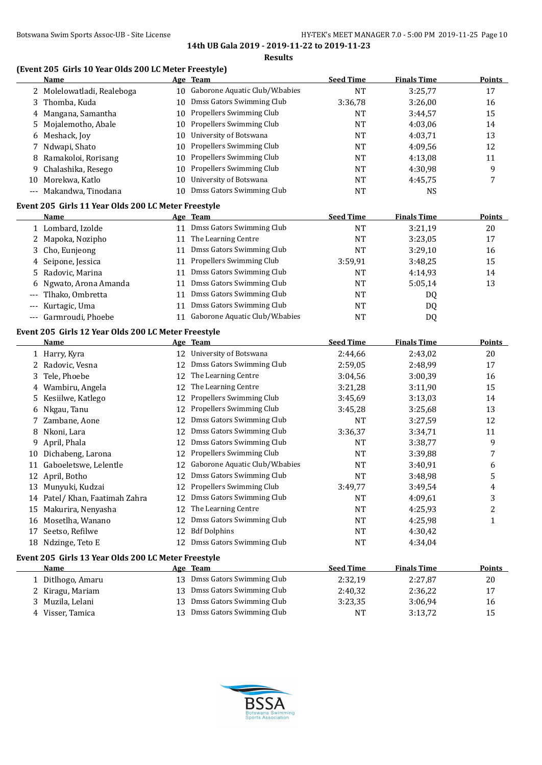#### **(Event 205 Girls 10 Year Olds 200 LC Meter Freestyle)**

|                   | Name                                                        |    | Age Team                       | <b>Seed Time</b> | <b>Finals Time</b> | <b>Points</b> |
|-------------------|-------------------------------------------------------------|----|--------------------------------|------------------|--------------------|---------------|
| 2                 | Molelowatladi, Realeboga                                    | 10 | Gaborone Aquatic Club/W.babies | <b>NT</b>        | 3:25,77            | 17            |
| 3                 | Thomba, Kuda                                                | 10 | Dmss Gators Swimming Club      | 3:36,78          | 3:26,00            | 16            |
| 4                 | Mangana, Samantha                                           | 10 | Propellers Swimming Club       | NT               | 3:44,57            | 15            |
| 5                 | Mojalemotho, Abale                                          | 10 | Propellers Swimming Club       | NT               | 4:03,06            | 14            |
| 6                 | Meshack, Joy                                                | 10 | University of Botswana         | NT               | 4:03,71            | 13            |
| 7                 | Ndwapi, Shato                                               | 10 | Propellers Swimming Club       | NT               | 4:09,56            | 12            |
| 8                 | Ramakoloi, Rorisang                                         | 10 | Propellers Swimming Club       | NT               | 4:13,08            | 11            |
| 9                 | Chalashika, Resego                                          | 10 | Propellers Swimming Club       | NT               | 4:30,98            | 9             |
|                   | 10 Morekwa, Katlo                                           | 10 | University of Botswana         | <b>NT</b>        | 4:45,75            | 7             |
|                   | --- Makandwa, Tinodana                                      | 10 | Dmss Gators Swimming Club      | <b>NT</b>        | <b>NS</b>          |               |
|                   | Event 205 Girls 11 Year Olds 200 LC Meter Freestyle         |    |                                |                  |                    |               |
|                   | Name                                                        |    | Age Team                       | <b>Seed Time</b> | <b>Finals Time</b> | <b>Points</b> |
|                   | 1 Lombard, Izolde                                           |    | 11 Dmss Gators Swimming Club   | <b>NT</b>        | 3:21,19            | 20            |
|                   | 2 Mapoka, Nozipho                                           | 11 | The Learning Centre            | <b>NT</b>        | 3:23,05            | 17            |
| 3                 | Cho, Eunjeong                                               | 11 | Dmss Gators Swimming Club      | <b>NT</b>        | 3:29,10            | 16            |
| 4                 | Seipone, Jessica                                            | 11 | Propellers Swimming Club       | 3:59,91          | 3:48,25            | 15            |
| 5                 | Radovic, Marina                                             | 11 | Dmss Gators Swimming Club      | <b>NT</b>        | 4:14,93            | 14            |
| 6                 | Ngwato, Arona Amanda                                        | 11 | Dmss Gators Swimming Club      | <b>NT</b>        | 5:05,14            | 13            |
|                   | Tlhako, Ombretta                                            | 11 | Dmss Gators Swimming Club      | <b>NT</b>        | DQ                 |               |
| $\qquad \qquad -$ | Kurtagic, Uma                                               | 11 | Dmss Gators Swimming Club      | <b>NT</b>        | DQ                 |               |
|                   | Garmroudi, Phoebe                                           | 11 | Gaborone Aquatic Club/W.babies | <b>NT</b>        | DQ                 |               |
|                   |                                                             |    |                                |                  |                    |               |
|                   | Event 205 Girls 12 Year Olds 200 LC Meter Freestyle<br>Name |    | Age Team                       | <b>Seed Time</b> | <b>Finals Time</b> | <b>Points</b> |
|                   | 1 Harry, Kyra                                               |    | 12 University of Botswana      | 2:44,66          | 2:43,02            | 20            |
|                   | 2 Radovic, Vesna                                            | 12 | Dmss Gators Swimming Club      | 2:59,05          | 2:48,99            | 17            |
| 3                 | Tele, Phoebe                                                | 12 | The Learning Centre            | 3:04,56          | 3:00,39            | 16            |
| 4                 | Wambiru, Angela                                             | 12 | The Learning Centre            | 3:21,28          | 3:11,90            | 15            |
| 5.                | Kesiilwe, Katlego                                           | 12 | Propellers Swimming Club       | 3:45,69          | 3:13,03            | 14            |
| 6                 | Nkgau, Tanu                                                 | 12 | Propellers Swimming Club       | 3:45,28          | 3:25,68            | 13            |
| 7                 | Zambane, Aone                                               | 12 | Dmss Gators Swimming Club      | <b>NT</b>        | 3:27,59            | 12            |
| 8                 | Nkoni, Lara                                                 | 12 | Dmss Gators Swimming Club      | 3:36,37          | 3:34,71            | 11            |
| 9                 | April, Phala                                                | 12 | Dmss Gators Swimming Club      | NT               | 3:38,77            | 9             |
|                   | 10 Dichabeng, Larona                                        | 12 | Propellers Swimming Club       | NT               | 3:39,88            | 7             |
| 11                | Gaboeletswe, Lelentle                                       | 12 | Gaborone Aquatic Club/W.babies | <b>NT</b>        | 3:40,91            | 6             |
|                   | 12 April, Botho                                             | 12 | Dmss Gators Swimming Club      | <b>NT</b>        | 3:48,98            | 5             |
|                   | 13 Munyuki, Kudzai                                          |    | Propellers Swimming Club       | 3:49,77          | 3:49,54            |               |
|                   | 14 Patel/ Khan, Faatimah Zahra                              | 12 | Dmss Gators Swimming Club      | NT               | 4:09,61            | 4<br>3        |
|                   | 15 Makurira, Nenyasha                                       | 12 | The Learning Centre            | <b>NT</b>        | 4:25,93            | 2             |
|                   | 16 Mosetlha, Wanano                                         | 12 | Dmss Gators Swimming Club      | <b>NT</b>        | 4:25,98            | 1             |
|                   | 17 Seetso, Refilwe                                          | 12 | <b>Bdf Dolphins</b>            | <b>NT</b>        |                    |               |
|                   | 18 Ndzinge, Teto E                                          | 12 | Dmss Gators Swimming Club      | <b>NT</b>        | 4:30,42<br>4:34,04 |               |
|                   |                                                             |    |                                |                  |                    |               |
|                   | Event 205 Girls 13 Year Olds 200 LC Meter Freestyle         |    |                                |                  |                    |               |
|                   | Name                                                        |    | Age Team                       | <b>Seed Time</b> | <b>Finals Time</b> | <b>Points</b> |
|                   | 1 Ditlhogo, Amaru                                           |    | 13 Dmss Gators Swimming Club   | 2:32,19          | 2:27,87            | 20            |
|                   | 2 Kiragu, Mariam                                            |    | 13 Dmss Gators Swimming Club   | 2:40,32          | 2:36,22            | 17            |

 Kiragu, Mariam 13 Dmss Gators Swimming Club 2:40,32 2:36,22 17 Muzila, Lelani 13 Dmss Gators Swimming Club 3:23,35 3:06,94 16 4 Visser, Tamica **13 Dmss Gators Swimming Club** NT 3:13,72 15

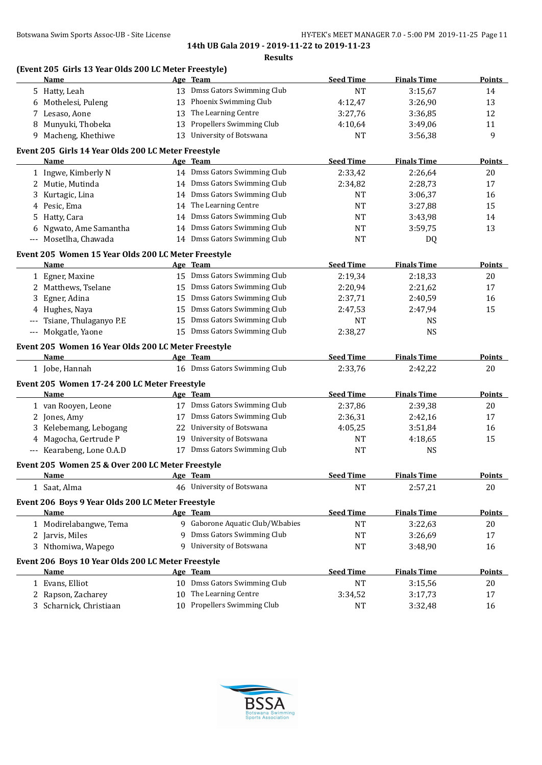|          | (Event 205 Girls 13 Year Olds 200 LC Meter Freestyle)<br>Name |    | Age Team                         | <b>Seed Time</b> | <b>Finals Time</b> | <b>Points</b> |
|----------|---------------------------------------------------------------|----|----------------------------------|------------------|--------------------|---------------|
|          | 5 Hatty, Leah                                                 |    | 13 Dmss Gators Swimming Club     | <b>NT</b>        | 3:15,67            | 14            |
| 6        | Mothelesi, Puleng                                             |    | 13 Phoenix Swimming Club         | 4:12,47          | 3:26,90            | 13            |
|          | 7 Lesaso, Aone                                                | 13 | The Learning Centre              | 3:27,76          | 3:36,85            | 12            |
| 8        | Munyuki, Thobeka                                              | 13 | Propellers Swimming Club         | 4:10,64          | 3:49,06            | 11            |
|          | 9 Macheng, Khethiwe                                           |    | 13 University of Botswana        | <b>NT</b>        | 3:56,38            | 9             |
|          |                                                               |    |                                  |                  |                    |               |
|          | Event 205 Girls 14 Year Olds 200 LC Meter Freestyle           |    |                                  |                  |                    |               |
|          | Name                                                          |    | Age Team                         | <b>Seed Time</b> | <b>Finals Time</b> | <b>Points</b> |
|          | 1 Ingwe, Kimberly N                                           |    | 14 Dmss Gators Swimming Club     | 2:33,42          | 2:26,64            | 20            |
|          | 2 Mutie, Mutinda                                              |    | 14 Dmss Gators Swimming Club     | 2:34,82          | 2:28,73            | 17            |
| 3        | Kurtagic, Lina                                                |    | 14 Dmss Gators Swimming Club     | <b>NT</b>        | 3:06,37            | 16            |
| 4        | Pesic, Ema                                                    |    | 14 The Learning Centre           | <b>NT</b>        | 3:27,88            | 15            |
| 5        | Hatty, Cara                                                   | 14 | Dmss Gators Swimming Club        | NT               | 3:43,98            | 14            |
| 6        | Ngwato, Ame Samantha                                          |    | 14 Dmss Gators Swimming Club     | NT               | 3:59,75            | 13            |
| $---$    | Mosetlha, Chawada                                             |    | 14 Dmss Gators Swimming Club     | NT               | DQ                 |               |
|          | Event 205 Women 15 Year Olds 200 LC Meter Freestyle           |    |                                  |                  |                    |               |
|          | Name                                                          |    | Age Team                         | <b>Seed Time</b> | <b>Finals Time</b> | <b>Points</b> |
|          | 1 Egner, Maxine                                               |    | 15 Dmss Gators Swimming Club     | 2:19,34          | 2:18,33            | 20            |
|          | 2 Matthews, Tselane                                           |    | 15 Dmss Gators Swimming Club     | 2:20,94          | 2:21,62            | 17            |
| 3        | Egner, Adina                                                  | 15 | Dmss Gators Swimming Club        | 2:37,71          | 2:40,59            | 16            |
|          | 4 Hughes, Naya                                                |    | 15 Dmss Gators Swimming Club     | 2:47,53          | 2:47,94            | 15            |
| $\cdots$ | Tsiane, Thulaganyo P.E                                        | 15 | Dmss Gators Swimming Club        | NT               | <b>NS</b>          |               |
|          | --- Mokgatle, Yaone                                           |    | 15 Dmss Gators Swimming Club     | 2:38,27          | <b>NS</b>          |               |
|          | Event 205 Women 16 Year Olds 200 LC Meter Freestyle           |    |                                  |                  |                    |               |
|          | Name                                                          |    | Age Team                         | <b>Seed Time</b> | <b>Finals Time</b> | <b>Points</b> |
|          | 1 Jobe, Hannah                                                |    | 16 Dmss Gators Swimming Club     | 2:33,76          | 2:42,22            | 20            |
|          | Event 205 Women 17-24 200 LC Meter Freestyle                  |    |                                  |                  |                    |               |
|          | Name                                                          |    | Age Team                         | <b>Seed Time</b> | <b>Finals Time</b> | <b>Points</b> |
|          | 1 van Rooyen, Leone                                           |    | 17 Dmss Gators Swimming Club     | 2:37,86          | 2:39,38            | 20            |
|          | 2 Jones, Amy                                                  |    | 17 Dmss Gators Swimming Club     | 2:36,31          | 2:42,16            | 17            |
|          | 3 Kelebemang, Lebogang                                        | 22 | University of Botswana           | 4:05,25          | 3:51,84            | 16            |
|          | 4 Magocha, Gertrude P                                         | 19 | University of Botswana           | NT               | 4:18,65            | 15            |
|          | --- Kearabeng, Lone O.A.D                                     |    | 17 Dmss Gators Swimming Club     | <b>NT</b>        | <b>NS</b>          |               |
|          |                                                               |    |                                  |                  |                    |               |
|          | Event 205 Women 25 & Over 200 LC Meter Freestyle              |    |                                  |                  |                    |               |
|          | <b>Name</b>                                                   |    | Age Team                         | <b>Seed Time</b> | <b>Finals Time</b> | <b>Points</b> |
|          | 1 Saat, Alma                                                  |    | 46 University of Botswana        | <b>NT</b>        | 2:57,21            | $20\,$        |
|          | Event 206 Boys 9 Year Olds 200 LC Meter Freestyle             |    |                                  |                  |                    |               |
|          | Name                                                          |    | Age Team                         | <b>Seed Time</b> | <b>Finals Time</b> | <b>Points</b> |
|          | 1 Modirelabangwe, Tema                                        |    | 9 Gaborone Aquatic Club/W.babies | <b>NT</b>        | 3:22,63            | 20            |
|          | 2 Jarvis, Miles                                               | 9  | Dmss Gators Swimming Club        | NT               | 3:26,69            | 17            |
|          | 3 Nthomiwa, Wapego                                            | 9  | University of Botswana           | <b>NT</b>        | 3:48,90            | 16            |
|          | Event 206 Boys 10 Year Olds 200 LC Meter Freestyle            |    |                                  |                  |                    |               |
|          | <b>Name</b>                                                   |    | Age Team                         | <b>Seed Time</b> | <b>Finals Time</b> | Points        |
|          | 1 Evans, Elliot                                               |    | 10 Dmss Gators Swimming Club     | <b>NT</b>        | 3:15,56            | 20            |
| 2        | Rapson, Zacharey                                              | 10 | The Learning Centre              | 3:34,52          | 3:17,73            | 17            |
|          | 3 Scharnick, Christiaan                                       |    | 10 Propellers Swimming Club      | <b>NT</b>        | 3:32,48            | 16            |

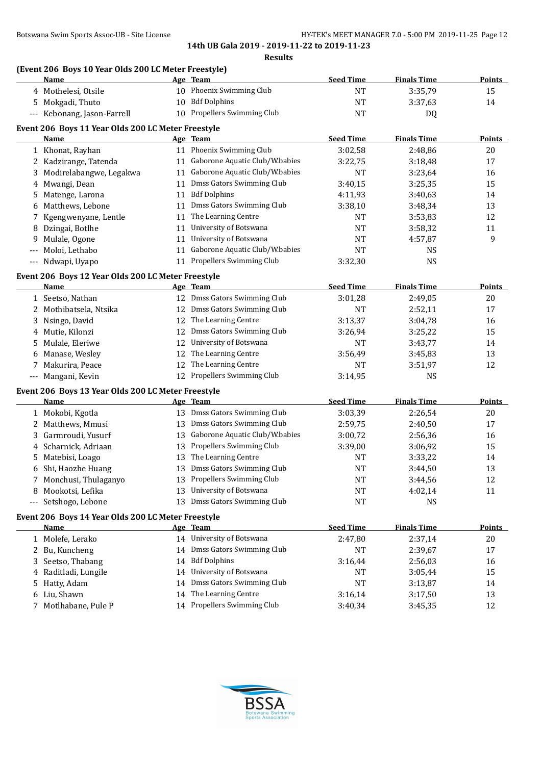#### **(Event 206 Boys 10 Year Olds 200 LC Meter Freestyle)**

|    | boys to real only not be meter incesty to<br><b>Name</b>   |    | Age Team                              | <b>Seed Time</b> | <b>Finals Time</b>   | <b>Points</b> |
|----|------------------------------------------------------------|----|---------------------------------------|------------------|----------------------|---------------|
|    | 4 Mothelesi, Otsile                                        |    | 10 Phoenix Swimming Club              | <b>NT</b>        | 3:35,79              | 15            |
| 5. | Mokgadi, Thuto                                             |    | 10 Bdf Dolphins                       | <b>NT</b>        | 3:37,63              | 14            |
|    | --- Kebonang, Jason-Farrell                                |    | 10 Propellers Swimming Club           | <b>NT</b>        | DQ                   |               |
|    | Event 206 Boys 11 Year Olds 200 LC Meter Freestyle         |    |                                       |                  |                      |               |
|    | Name                                                       |    | Age Team                              | <b>Seed Time</b> | <b>Finals Time</b>   | <b>Points</b> |
|    | 1 Khonat, Rayhan                                           |    | 11 Phoenix Swimming Club              | 3:02,58          | 2:48,86              | 20            |
|    | 2 Kadzirange, Tatenda                                      |    | 11 Gaborone Aquatic Club/W.babies     | 3:22,75          | 3:18,48              | 17            |
| 3  | Modirelabangwe, Legakwa                                    |    | 11 Gaborone Aquatic Club/W.babies     | <b>NT</b>        | 3:23,64              | 16            |
| 4  | Mwangi, Dean                                               | 11 | Dmss Gators Swimming Club             | 3:40,15          | 3:25,35              | 15            |
| 5. | Matenge, Larona                                            | 11 | <b>Bdf Dolphins</b>                   | 4:11,93          | 3:40,63              | 14            |
| 6  | Matthews, Lebone                                           | 11 | Dmss Gators Swimming Club             | 3:38,10          | 3:48,34              | 13            |
| 7  | Kgengwenyane, Lentle                                       | 11 | The Learning Centre                   | <b>NT</b>        | 3:53,83              | 12            |
| 8  | Dzingai, Botlhe                                            | 11 | University of Botswana                | <b>NT</b>        | 3:58,32              | 11            |
| 9  | Mulale, Ogone                                              | 11 | University of Botswana                | <b>NT</b>        | 4:57,87              | 9             |
|    | Moloi, Lethabo                                             | 11 | Gaborone Aquatic Club/W.babies        | <b>NT</b>        | <b>NS</b>            |               |
|    | --- Ndwapi, Uyapo                                          |    | 11 Propellers Swimming Club           | 3:32,30          | <b>NS</b>            |               |
|    | Event 206 Boys 12 Year Olds 200 LC Meter Freestyle         |    |                                       |                  |                      |               |
|    | Name                                                       |    | Age Team                              | <b>Seed Time</b> | <b>Finals Time</b>   | <b>Points</b> |
|    | 1 Seetso, Nathan                                           |    | 12 Dmss Gators Swimming Club          | 3:01,28          | 2:49,05              | 20            |
| 2  | Mothibatsela, Ntsika                                       |    | 12 Dmss Gators Swimming Club          | <b>NT</b>        | 2:52,11              | 17            |
| 3  | Nsingo, David                                              | 12 | The Learning Centre                   | 3:13,37          | 3:04,78              | 16            |
| 4  | Mutie, Kilonzi                                             | 12 | Dmss Gators Swimming Club             | 3:26,94          | 3:25,22              | 15            |
| 5  | Mulale, Eleriwe                                            | 12 | University of Botswana                | NT               | 3:43,77              | 14            |
| 6  | Manase, Wesley                                             | 12 | The Learning Centre                   | 3:56,49          | 3:45,83              | 13            |
| 7  | Makurira, Peace                                            | 12 | The Learning Centre                   | NT               | 3:51,97              | 12            |
|    | --- Mangani, Kevin                                         |    | 12 Propellers Swimming Club           | 3:14,95          | <b>NS</b>            |               |
|    |                                                            |    |                                       |                  |                      |               |
|    | Event 206 Boys 13 Year Olds 200 LC Meter Freestyle<br>Name |    | Age Team                              | <b>Seed Time</b> | <b>Finals Time</b>   | <b>Points</b> |
|    | 1 Mokobi, Kgotla                                           |    | 13 Dmss Gators Swimming Club          | 3:03,39          | 2:26,54              | 20            |
| 2  | Matthews, Mmusi                                            | 13 | Dmss Gators Swimming Club             | 2:59,75          | 2:40,50              | 17            |
| 3  | Garmroudi, Yusurf                                          | 13 | Gaborone Aquatic Club/W.babies        | 3:00,72          | 2:56,36              | 16            |
| 4  | Scharnick, Adriaan                                         | 13 | Propellers Swimming Club              | 3:39,00          | 3:06,92              | 15            |
| 5. | Matebisi, Loago                                            | 13 | The Learning Centre                   | NT               | 3:33,22              | 14            |
|    | 6 Shi, Haozhe Huang                                        |    | 13 Dmss Gators Swimming Club          | <b>NT</b>        | 3:44,50              | 13            |
|    | 7 Monchusi, Thulaganyo                                     |    | 13 Propellers Swimming Club           | $\rm{NT}$        | 3:44,56              | $12\,$        |
|    | 8 Mookotsi, Lefika                                         |    | 13 University of Botswana             |                  |                      |               |
|    | --- Setshogo, Lebone                                       |    | 13 Dmss Gators Swimming Club          | NT<br><b>NT</b>  | 4:02,14<br><b>NS</b> | 11            |
|    |                                                            |    |                                       |                  |                      |               |
|    | Event 206 Boys 14 Year Olds 200 LC Meter Freestyle         |    |                                       |                  |                      |               |
|    | Name                                                       |    | Age Team<br>14 University of Botswana | <b>Seed Time</b> | <b>Finals Time</b>   | <b>Points</b> |
|    | 1 Molefe, Lerako                                           |    | 14 Dmss Gators Swimming Club          | 2:47,80          | 2:37,14              | 20            |
| 2  | Bu, Kuncheng                                               |    |                                       | NT               | 2:39,67              | 17            |
| 3  | Seetso, Thabang                                            | 14 | <b>Bdf Dolphins</b>                   | 3:16,44          | 2:56,03              | 16            |
| 4  | Raditladi, Lungile                                         | 14 | University of Botswana                | NT               | 3:05,44              | 15            |
| 5  | Hatty, Adam                                                | 14 | Dmss Gators Swimming Club             | NT               | 3:13,87              | 14            |
|    | 6 Liu, Shawn                                               | 14 | The Learning Centre                   | 3:16,14          | 3:17,50              | 13            |
|    | 7 Motlhabane, Pule P                                       |    | 14 Propellers Swimming Club           | 3:40,34          | 3:45,35              | 12            |

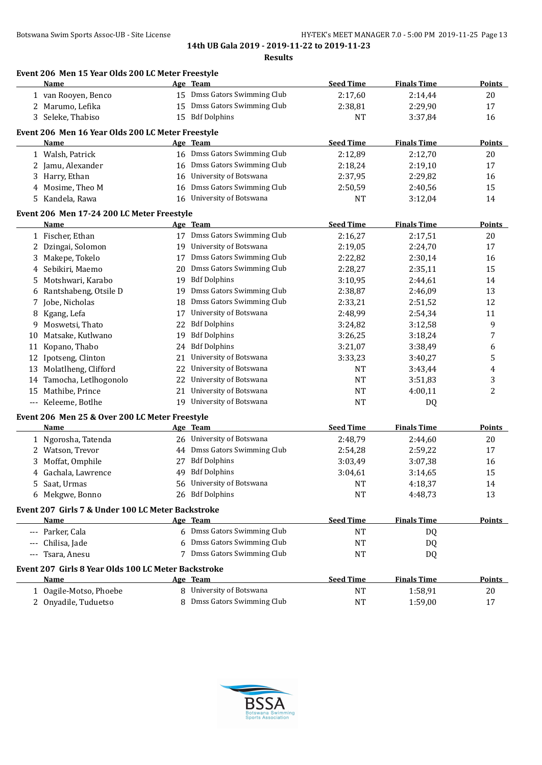|     | Event 206 Men 15 Year Olds 200 LC Meter Freestyle<br>Name |    | Age Team                     | <b>Seed Time</b> | <b>Finals Time</b> | <b>Points</b> |
|-----|-----------------------------------------------------------|----|------------------------------|------------------|--------------------|---------------|
|     | 1 van Rooyen, Benco                                       |    | 15 Dmss Gators Swimming Club | 2:17,60          | 2:14,44            | 20            |
|     | 2 Marumo, Lefika                                          |    | 15 Dmss Gators Swimming Club | 2:38,81          | 2:29,90            | 17            |
|     | 3 Seleke, Thabiso                                         |    | 15 Bdf Dolphins              | NT               | 3:37,84            | 16            |
|     | Event 206 Men 16 Year Olds 200 LC Meter Freestyle         |    |                              |                  |                    |               |
|     | Name                                                      |    | Age Team                     | <b>Seed Time</b> | <b>Finals Time</b> | <b>Points</b> |
|     | 1 Walsh, Patrick                                          |    | 16 Dmss Gators Swimming Club | 2:12,89          | 2:12,70            | 20            |
| 2   | Jamu, Alexander                                           | 16 | Dmss Gators Swimming Club    | 2:18,24          | 2:19,10            | 17            |
| 3   | Harry, Ethan                                              | 16 | University of Botswana       | 2:37,95          | 2:29,82            | 16            |
| 4   | Mosime, Theo M                                            | 16 | Dmss Gators Swimming Club    | 2:50,59          | 2:40,56            | 15            |
| 5   | Kandela, Rawa                                             | 16 | University of Botswana       | NT               | 3:12,04            | 14            |
|     | Event 206 Men 17-24 200 LC Meter Freestyle                |    |                              |                  |                    |               |
|     | Name                                                      |    | Age Team                     | <b>Seed Time</b> | <b>Finals Time</b> | <b>Points</b> |
|     | 1 Fischer, Ethan                                          |    | 17 Dmss Gators Swimming Club | 2:16,27          | 2:17,51            | 20            |
| 2   | Dzingai, Solomon                                          | 19 | University of Botswana       | 2:19,05          | 2:24,70            | 17            |
| 3   | Makepe, Tokelo                                            | 17 | Dmss Gators Swimming Club    | 2:22,82          | 2:30,14            | 16            |
| 4   | Sebikiri, Maemo                                           | 20 | Dmss Gators Swimming Club    | 2:28,27          | 2:35,11            | 15            |
| 5   | Motshwari, Karabo                                         | 19 | <b>Bdf Dolphins</b>          | 3:10.95          | 2:44,61            | 14            |
| 6   | Rantshabeng, Otsile D                                     | 19 | Dmss Gators Swimming Club    | 2:38,87          | 2:46,09            | 13            |
| 7   | Jobe, Nicholas                                            | 18 | Dmss Gators Swimming Club    | 2:33,21          | 2:51,52            | 12            |
| 8   | Kgang, Lefa                                               | 17 | University of Botswana       | 2:48,99          | 2:54,34            | 11            |
| 9   | Moswetsi, Thato                                           | 22 | <b>Bdf Dolphins</b>          | 3:24,82          | 3:12,58            | 9             |
| 10  | Matsake, Kutlwano                                         | 19 | <b>Bdf Dolphins</b>          | 3:26,25          | 3:18,24            | 7             |
| 11  | Kopano, Thabo                                             | 24 | <b>Bdf Dolphins</b>          | 3:21,07          | 3:38,49            | 6             |
| 12  | Ipotseng, Clinton                                         | 21 | University of Botswana       | 3:33,23          | 3:40,27            | 5             |
|     | 13 Molatlheng, Clifford                                   | 22 | University of Botswana       | NT               | 3:43,44            | 4             |
| 14  | Tamocha, Letlhogonolo                                     | 22 | University of Botswana       | NT               | 3:51,83            | 3             |
| 15  | Mathibe, Prince                                           |    | 21 University of Botswana    | NT               | 4:00,11            | 2             |
|     | --- Keleeme, Botlhe                                       |    | 19 University of Botswana    | <b>NT</b>        | DQ                 |               |
|     | Event 206 Men 25 & Over 200 LC Meter Freestyle            |    |                              |                  |                    |               |
|     | Name                                                      |    | Age Team                     | <b>Seed Time</b> | <b>Finals Time</b> | <b>Points</b> |
|     | 1 Ngorosha, Tatenda                                       |    | 26 University of Botswana    | 2:48,79          | 2:44,60            | 20            |
|     | 2 Watson, Trevor                                          |    | 44 Dmss Gators Swimming Club | 2:54,28          | 2:59,22            | 17            |
|     | 3 Moffat, Omphile                                         |    | 27 Bdf Dolphins              | 3:03,49          | 3:07,38            | 16            |
|     | 4 Gachala, Lawrence                                       |    | 49 Bdf Dolphins              | 3:04,61          | 3:14,65            | 15            |
| 5.  | Saat, Urmas                                               |    | 56 University of Botswana    | <b>NT</b>        | 4:18,37            | 14            |
|     | 6 Mekgwe, Bonno                                           |    | 26 Bdf Dolphins              | <b>NT</b>        | 4:48,73            | 13            |
|     | Event 207 Girls 7 & Under 100 LC Meter Backstroke         |    |                              |                  |                    |               |
|     | Name                                                      |    | Age Team                     | <b>Seed Time</b> | <b>Finals Time</b> | <b>Points</b> |
|     | --- Parker, Cala                                          |    | 6 Dmss Gators Swimming Club  | <b>NT</b>        | DQ                 |               |
| --- | Chilisa, Jade                                             |    | 6 Dmss Gators Swimming Club  | NT               | DQ                 |               |
| --- | Tsara, Anesu                                              |    | 7 Dmss Gators Swimming Club  | <b>NT</b>        | DQ                 |               |
|     | Event 207 Girls 8 Year Olds 100 LC Meter Backstroke       |    |                              |                  |                    |               |
|     | Name                                                      |    | Age Team                     | <b>Seed Time</b> | <b>Finals Time</b> | <b>Points</b> |
|     | 1 Oagile-Motso, Phoebe                                    |    | 8 University of Botswana     | <b>NT</b>        | 1:58,91            | 20            |
|     | 2 Onyadile, Tuduetso                                      |    | 8 Dmss Gators Swimming Club  | <b>NT</b>        | 1:59,00            | 17            |
|     |                                                           |    |                              |                  |                    |               |

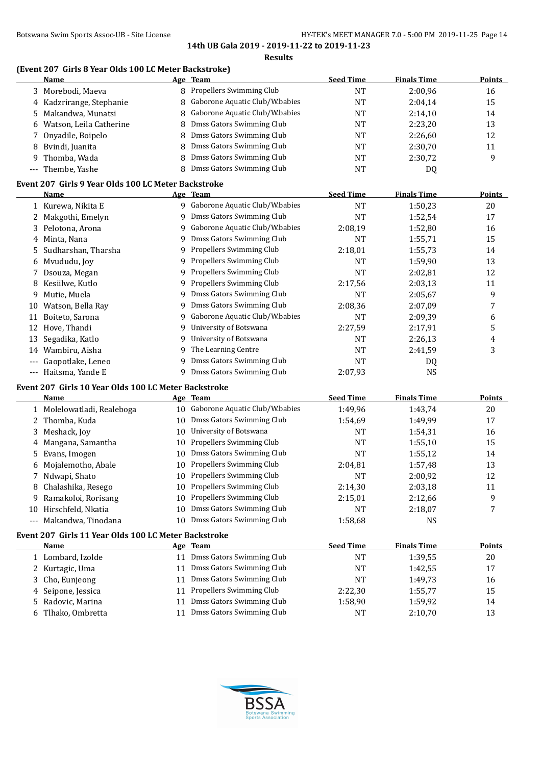#### Botswana Swim Sports Assoc-UB - Site License **HY-TEK's MEET MANAGER 7.0 - 5:00 PM 2019-11-25** Page 14

**14th UB Gala 2019 - 2019-11-22 to 2019-11-23 Results**

#### **(Event 207 Girls 8 Year Olds 100 LC Meter Backstroke)**

| <b>Name</b>                                                                                                                |    | Age Team                         | <b>Seed Time</b> | <b>Finals Time</b> | <b>Points</b> |
|----------------------------------------------------------------------------------------------------------------------------|----|----------------------------------|------------------|--------------------|---------------|
| 3 Morebodi, Maeva                                                                                                          |    | 8 Propellers Swimming Club       | NT               | 2:00,96            | 16            |
| 4 Kadzrirange, Stephanie                                                                                                   |    | 8 Gaborone Aquatic Club/W.babies | NT               | 2:04.14            | 15            |
| 5 Makandwa, Munatsi                                                                                                        |    | 8 Gaborone Aquatic Club/W.babies | NT               | 2:14,10            | 14            |
| 6 Watson, Leila Catherine                                                                                                  |    | 8 Dmss Gators Swimming Club      | NT               | 2:23.20            | 13            |
| 7 Onyadile, Boipelo                                                                                                        | 8. | Dmss Gators Swimming Club        | <b>NT</b>        | 2:26,60            | 12            |
| 8 Bvindi, Juanita                                                                                                          |    | 8 Dmss Gators Swimming Club      | NT               | 2:30.70            | 11            |
| 9 Thomba, Wada                                                                                                             |    | 8 Dmss Gators Swimming Club      | <b>NT</b>        | 2:30.72            | q             |
| --- Thembe, Yashe                                                                                                          |    | Dmss Gators Swimming Club        | NT               | DQ                 |               |
| $F_{\text{total}}$ $0.07$ $C_{\text{total}}$ $0.01$ , $\ldots$ $0.1$ , $1.00$ , $1.00$ , $1.00$ , $1.00$ , $1.00$ , $1.00$ |    |                                  |                  |                    |               |

#### **Event 207 Girls 9 Year Olds 100 LC Meter Backstroke**

|          | Name                  |    | Age Team                        | <b>Seed Time</b> | <b>Finals Time</b> | <b>Points</b> |
|----------|-----------------------|----|---------------------------------|------------------|--------------------|---------------|
|          | 1 Kurewa, Nikita E    | 9. | Gaborone Aquatic Club/W.babies  | <b>NT</b>        | 1:50,23            | 20            |
|          | 2 Makgothi, Emelyn    |    | Dmss Gators Swimming Club       | <b>NT</b>        | 1:52,54            | 17            |
|          | 3 Pelotona, Arona     | 9. | Gaborone Aquatic Club/W.babies  | 2:08.19          | 1:52,80            | 16            |
| 4        | Minta, Nana           | 9  | Dmss Gators Swimming Club       | <b>NT</b>        | 1:55,71            | 15            |
|          | 5 Sudharshan, Tharsha | 9  | <b>Propellers Swimming Club</b> | 2:18,01          | 1:55,73            | 14            |
|          | 6 Mvududu, Joy        |    | <b>Propellers Swimming Club</b> | <b>NT</b>        | 1:59,90            | 13            |
|          | Dsouza, Megan         | 9  | <b>Propellers Swimming Club</b> | NT               | 2:02,81            | 12            |
| 8        | Kesiilwe, Kutlo       | 9  | <b>Propellers Swimming Club</b> | 2:17,56          | 2:03,13            | 11            |
| 9        | Mutie, Muela          | 9  | Dmss Gators Swimming Club       | <b>NT</b>        | 2:05,67            | 9             |
| 10       | Watson, Bella Ray     | 9. | Dmss Gators Swimming Club       | 2:08.36          | 2:07.09            | 7             |
| 11       | Boiteto, Sarona       | 9. | Gaborone Aquatic Club/W.babies  | <b>NT</b>        | 2:09,39            | 6             |
| 12       | Hove, Thandi          | 9. | University of Botswana          | 2:27,59          | 2:17,91            | 5             |
| 13       | Segadika, Katlo       | 9  | University of Botswana          | <b>NT</b>        | 2:26,13            | 4             |
| 14       | Wambiru, Aisha        | 9. | The Learning Centre             | NT               | 2:41,59            | 3             |
|          | Gaopotlake, Leneo     |    | Dmss Gators Swimming Club       | <b>NT</b>        | DQ                 |               |
| $\cdots$ | Haitsma, Yande E      |    | Dmss Gators Swimming Club       | 2:07,93          | <b>NS</b>          |               |

# **Event 207 Girls 10 Year Olds 100 LC Meter Backstroke**

|       | Name                       |    | Age Team                       | <b>Seed Time</b> | <b>Finals Time</b> | Points |
|-------|----------------------------|----|--------------------------------|------------------|--------------------|--------|
|       | 1 Molelowatladi, Realeboga | 10 | Gaborone Aquatic Club/W.babies | 1:49.96          | 1:43,74            | 20     |
|       | 2 Thomba, Kuda             | 10 | Dmss Gators Swimming Club      | 1:54.69          | 1:49.99            | 17     |
|       | 3 Meshack, Joy             | 10 | University of Botswana         | NT               | 1:54,31            | 16     |
|       | 4 Mangana, Samantha        | 10 | Propellers Swimming Club       | NT               | 1:55,10            | 15     |
|       | 5 Evans, Imogen            | 10 | Dmss Gators Swimming Club      | NT               | 1:55,12            | 14     |
|       | 6 Mojalemotho, Abale       | 10 | Propellers Swimming Club       | 2:04.81          | 1:57.48            | 13     |
|       | 7 Ndwapi, Shato            | 10 | Propellers Swimming Club       | NT               | 2:00,92            | 12     |
|       | 8 Chalashika, Resego       | 10 | Propellers Swimming Club       | 2:14.30          | 2:03,18            | 11     |
|       | 9 Ramakoloi, Rorisang      | 10 | Propellers Swimming Club       | 2:15.01          | 2:12,66            | 9      |
| 10    | Hirschfeld, Nkatia         | 10 | Dmss Gators Swimming Club      | <b>NT</b>        | 2:18,07            | 7      |
| $---$ | Makandwa, Tinodana         | 10 | Dmss Gators Swimming Club      | 1:58,68          | NS.                |        |

# **Event 207 Girls 11 Year Olds 100 LC Meter Backstroke**

| Name               |    | Age Team                     | <b>Seed Time</b> | <b>Finals Time</b> | <b>Points</b> |
|--------------------|----|------------------------------|------------------|--------------------|---------------|
| 1 Lombard, Izolde  |    | 11 Dmss Gators Swimming Club | NT               | 1:39.55            | 20            |
| 2 Kurtagic, Uma    | 11 | Dmss Gators Swimming Club    | NT               | 1:42,55            | 17            |
| 3 Cho, Eunjeong    |    | 11 Dmss Gators Swimming Club | NT               | 1:49.73            | 16            |
| 4 Seipone, Jessica |    | 11 Propellers Swimming Club  | 2:22.30          | 1:55,77            | 15            |
| 5 Radovic, Marina  |    | 11 Dmss Gators Swimming Club | 1:58,90          | 1:59,92            | 14            |
| Tlhako, Ombretta   | 11 | Dmss Gators Swimming Club    | <b>NT</b>        | 2:10,70            | 13            |

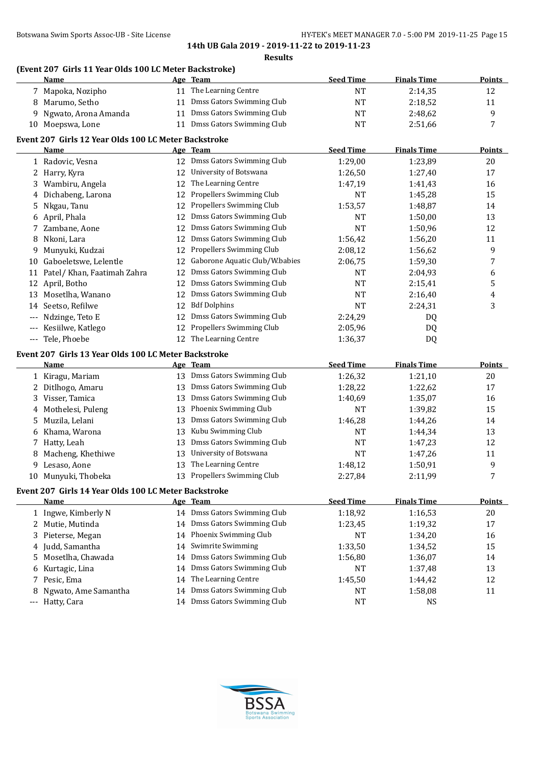## **(Event 207 Girls 11 Year Olds 100 LC Meter Backstroke)**

|     | Name                                                 |    | Age Team                       | <b>Seed Time</b> | <b>Finals Time</b> | <b>Points</b>  |
|-----|------------------------------------------------------|----|--------------------------------|------------------|--------------------|----------------|
|     | 7 Mapoka, Nozipho                                    |    | 11 The Learning Centre         | <b>NT</b>        | 2:14,35            | 12             |
| 8   | Marumo, Setho                                        |    | 11 Dmss Gators Swimming Club   | <b>NT</b>        | 2:18,52            | 11             |
| 9   | Ngwato, Arona Amanda                                 |    | 11 Dmss Gators Swimming Club   | <b>NT</b>        | 2:48,62            | 9              |
|     | 10 Moepswa, Lone                                     |    | 11 Dmss Gators Swimming Club   | NT               | 2:51,66            | 7              |
|     | Event 207 Girls 12 Year Olds 100 LC Meter Backstroke |    |                                |                  |                    |                |
|     | Name                                                 |    | Age Team                       | <b>Seed Time</b> | <b>Finals Time</b> | <b>Points</b>  |
|     | 1 Radovic, Vesna                                     |    | 12 Dmss Gators Swimming Club   | 1:29,00          | 1:23,89            | 20             |
|     | 2 Harry, Kyra                                        |    | 12 University of Botswana      | 1:26,50          | 1:27,40            | 17             |
| 3   | Wambiru, Angela                                      |    | 12 The Learning Centre         | 1:47,19          | 1:41,43            | 16             |
| 4   | Dichabeng, Larona                                    | 12 | Propellers Swimming Club       | <b>NT</b>        | 1:45,28            | 15             |
| 5   | Nkgau, Tanu                                          | 12 | Propellers Swimming Club       | 1:53,57          | 1:48,87            | 14             |
| 6   | April, Phala                                         | 12 | Dmss Gators Swimming Club      | <b>NT</b>        | 1:50,00            | 13             |
| 7   | Zambane, Aone                                        | 12 | Dmss Gators Swimming Club      | <b>NT</b>        | 1:50,96            | 12             |
| 8   | Nkoni, Lara                                          | 12 | Dmss Gators Swimming Club      | 1:56,42          | 1:56,20            | 11             |
| 9   | Munyuki, Kudzai                                      | 12 | Propellers Swimming Club       | 2:08,12          | 1:56,62            | 9              |
|     | 10 Gaboeletswe, Lelentle                             | 12 | Gaborone Aquatic Club/W.babies | 2:06,75          | 1:59,30            | 7              |
|     | 11 Patel/ Khan, Faatimah Zahra                       | 12 | Dmss Gators Swimming Club      | <b>NT</b>        | 2:04,93            | 6              |
|     | 12 April, Botho                                      | 12 | Dmss Gators Swimming Club      | <b>NT</b>        | 2:15,41            | 5              |
|     | 13 Mosetlha, Wanano                                  | 12 | Dmss Gators Swimming Club      | <b>NT</b>        | 2:16,40            | 4              |
| 14  | Seetso, Refilwe                                      | 12 | <b>Bdf Dolphins</b>            | <b>NT</b>        | 2:24,31            | 3              |
|     | Ndzinge, Teto E                                      | 12 | Dmss Gators Swimming Club      | 2:24,29          | DQ                 |                |
| --- | Kesiilwe, Katlego                                    | 12 | Propellers Swimming Club       | 2:05,96          | DQ                 |                |
|     | --- Tele, Phoebe                                     | 12 | The Learning Centre            | 1:36,37          | DQ                 |                |
|     | Event 207 Girls 13 Year Olds 100 LC Meter Backstroke |    |                                |                  |                    |                |
|     | <b>Name</b>                                          |    | Age Team                       | <b>Seed Time</b> | <b>Finals Time</b> | <b>Points</b>  |
|     | 1 Kiragu, Mariam                                     |    | 13 Dmss Gators Swimming Club   | 1:26,32          | 1:21,10            | 20             |
|     | 2 Ditlhogo, Amaru                                    | 13 | Dmss Gators Swimming Club      | 1:28,22          | 1:22,62            | 17             |
| 3   | Visser, Tamica                                       | 13 | Dmss Gators Swimming Club      | 1:40,69          | 1:35,07            | 16             |
| 4   | Mothelesi, Puleng                                    | 13 | Phoenix Swimming Club          | <b>NT</b>        | 1:39,82            | 15             |
| 5   | Muzila, Lelani                                       | 13 | Dmss Gators Swimming Club      | 1:46,28          | 1:44,26            | 14             |
| 6   | Khama, Warona                                        | 13 | Kubu Swimming Club             | <b>NT</b>        | 1:44,34            | 13             |
|     | 7 Hatty, Leah                                        | 13 | Dmss Gators Swimming Club      | NT               | 1:47,23            | 12             |
| 8   | Macheng, Khethiwe                                    | 13 | University of Botswana         | <b>NT</b>        | 1:47,26            | 11             |
| 9   | Lesaso, Aone                                         | 13 | The Learning Centre            | 1:48,12          | 1:50,91            | 9              |
|     | 10 Munyuki, Thobeka                                  |    | 13 Propellers Swimming Club    | 2:27,84          | 2:11,99            | $\overline{7}$ |
|     | Event 207 Girls 14 Year Olds 100 LC Meter Backstroke |    |                                |                  |                    |                |
|     | Name                                                 |    | Age Team                       | <b>Seed Time</b> | <b>Finals Time</b> | <b>Points</b>  |
|     | 1 Ingwe, Kimberly N                                  |    | 14 Dmss Gators Swimming Club   | 1:18,92          | 1:16,53            | 20             |
| 2   | Mutie, Mutinda                                       | 14 | Dmss Gators Swimming Club      | 1:23,45          | 1:19,32            | 17             |
| 3   | Pieterse, Megan                                      | 14 | Phoenix Swimming Club          | <b>NT</b>        | 1:34,20            | 16             |
| 4   | Judd, Samantha                                       | 14 | Swimrite Swimming              | 1:33,50          | 1:34,52            | 15             |
| 5   | Mosetlha, Chawada                                    | 14 | Dmss Gators Swimming Club      | 1:56,80          | 1:36,07            | 14             |
| 6   |                                                      |    |                                |                  |                    |                |
|     |                                                      | 14 | Dmss Gators Swimming Club      | NT               |                    |                |
| 7   | Kurtagic, Lina<br>Pesic, Ema                         | 14 | The Learning Centre            |                  | 1:37,48            | 13             |
| 8   | Ngwato, Ame Samantha                                 | 14 | Dmss Gators Swimming Club      | 1:45,50<br>NT    | 1:44,42<br>1:58,08 | 12<br>11       |

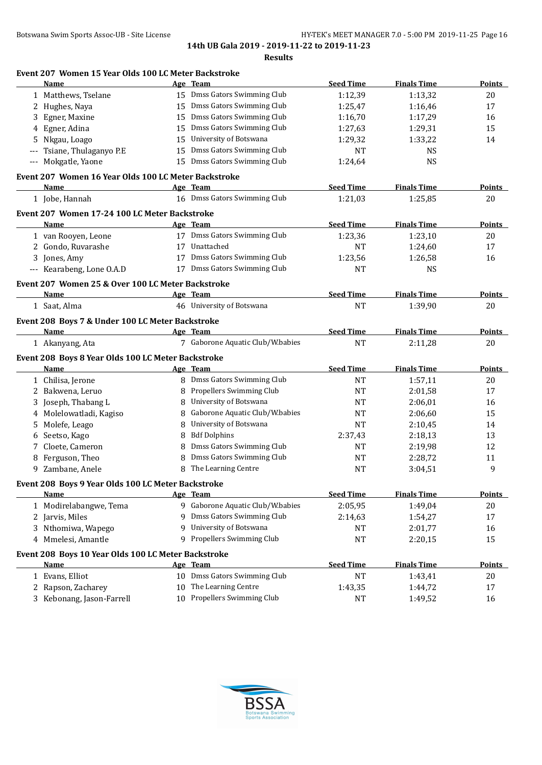| Botswana Swim Sports Assoc-UB - Site License | HY-TEK's MEET MANAGER 7.0 - 5:00 PM 2019-11-25 Page 16 |
|----------------------------------------------|--------------------------------------------------------|
|----------------------------------------------|--------------------------------------------------------|

|   | Event 207 Women 15 Year Olds 100 LC Meter Backstroke |    |                                  |                  |                    |               |
|---|------------------------------------------------------|----|----------------------------------|------------------|--------------------|---------------|
|   | Name                                                 |    | Age Team                         | <b>Seed Time</b> | <b>Finals Time</b> | Points        |
|   | 1 Matthews, Tselane                                  |    | 15 Dmss Gators Swimming Club     | 1:12,39          | 1:13,32            | 20            |
| 2 | Hughes, Naya                                         | 15 | Dmss Gators Swimming Club        | 1:25,47          | 1:16,46            | 17            |
| 3 | Egner, Maxine                                        | 15 | Dmss Gators Swimming Club        | 1:16,70          | 1:17,29            | 16            |
| 4 | Egner, Adina                                         | 15 | Dmss Gators Swimming Club        | 1:27,63          | 1:29,31            | 15            |
| 5 | Nkgau, Loago                                         | 15 | University of Botswana           | 1:29,32          | 1:33,22            | 14            |
|   | Tsiane, Thulaganyo P.E                               | 15 | Dmss Gators Swimming Club        | <b>NT</b>        | <b>NS</b>          |               |
|   | --- Mokgatle, Yaone                                  |    | 15 Dmss Gators Swimming Club     | 1:24,64          | <b>NS</b>          |               |
|   | Event 207 Women 16 Year Olds 100 LC Meter Backstroke |    |                                  |                  |                    |               |
|   | Name                                                 |    | Age Team                         | <b>Seed Time</b> | <b>Finals Time</b> | <b>Points</b> |
|   | 1 Jobe, Hannah                                       |    | 16 Dmss Gators Swimming Club     | 1:21,03          | 1:25,85            | 20            |
|   | Event 207 Women 17-24 100 LC Meter Backstroke        |    |                                  |                  |                    |               |
|   | Name                                                 |    | Age Team                         | <b>Seed Time</b> | <b>Finals Time</b> | <b>Points</b> |
|   | 1 van Rooyen, Leone                                  |    | 17 Dmss Gators Swimming Club     | 1:23,36          | 1:23,10            | 20            |
|   | 2 Gondo, Ruvarashe                                   |    | 17 Unattached                    | <b>NT</b>        | 1:24,60            | 17            |
|   | 3 Jones, Amy                                         |    | 17 Dmss Gators Swimming Club     | 1:23,56          | 1:26,58            | 16            |
|   | --- Kearabeng, Lone O.A.D                            |    | 17 Dmss Gators Swimming Club     | <b>NT</b>        | <b>NS</b>          |               |
|   | Event 207 Women 25 & Over 100 LC Meter Backstroke    |    |                                  |                  |                    |               |
|   | <b>Name</b>                                          |    | Age Team                         | <b>Seed Time</b> | <b>Finals Time</b> | <b>Points</b> |
|   | 1 Saat, Alma                                         |    | 46 University of Botswana        | <b>NT</b>        | 1:39,90            | 20            |
|   | Event 208 Boys 7 & Under 100 LC Meter Backstroke     |    |                                  |                  |                    |               |
|   | Name                                                 |    | Age Team                         | <b>Seed Time</b> | <b>Finals Time</b> | <b>Points</b> |
|   | 1 Akanyang, Ata                                      |    | 7 Gaborone Aquatic Club/W.babies | <b>NT</b>        | 2:11,28            | 20            |
|   | Event 208 Boys 8 Year Olds 100 LC Meter Backstroke   |    |                                  |                  |                    |               |
|   | Name                                                 |    | Age Team                         | <b>Seed Time</b> | <b>Finals Time</b> | <b>Points</b> |
|   | 1 Chilisa, Jerone                                    |    | 8 Dmss Gators Swimming Club      | <b>NT</b>        | 1:57,11            | 20            |
| 2 | Bakwena, Leruo                                       | 8  | Propellers Swimming Club         | <b>NT</b>        | 2:01,58            | 17            |
| 3 | Joseph, Thabang L                                    | 8  | University of Botswana           | NT               | 2:06,01            | 16            |
| 4 | Molelowatladi, Kagiso                                | 8  | Gaborone Aquatic Club/W.babies   | NT               | 2:06,60            | 15            |
| 5 | Molefe, Leago                                        | 8  | University of Botswana           | NT               | 2:10,45            | 14            |
| 6 | Seetso, Kago                                         | 8  | <b>Bdf Dolphins</b>              | 2:37,43          | 2:18,13            | 13            |
| 7 | Cloete, Cameron                                      | 8  | Dmss Gators Swimming Club        | NT               | 2:19,98            | 12            |
| 8 | Ferguson, Theo                                       | 8  | Dmss Gators Swimming Club        | <b>NT</b>        | 2:28,72            | 11            |
| 9 | Zambane, Anele                                       | 8  | The Learning Centre              | <b>NT</b>        | 3:04,51            | 9             |
|   | Event 208 Boys 9 Year Olds 100 LC Meter Backstroke   |    |                                  |                  |                    |               |
|   | Name                                                 |    | Age Team                         | <b>Seed Time</b> | <b>Finals Time</b> | <b>Points</b> |
|   | 1 Modirelabangwe, Tema                               |    | 9 Gaborone Aquatic Club/W.babies | 2:05,95          | 1:49,04            | 20            |
|   | 2 Jarvis, Miles                                      | 9  | Dmss Gators Swimming Club        | 2:14,63          | 1:54,27            | 17            |
| 3 | Nthomiwa, Wapego                                     | 9  | University of Botswana           | NT               | 2:01,77            | 16            |
|   | 4 Mmelesi, Amantle                                   |    | 9 Propellers Swimming Club       | <b>NT</b>        | 2:20,15            | 15            |
|   | Event 208 Boys 10 Year Olds 100 LC Meter Backstroke  |    |                                  |                  |                    |               |
|   | <b>Name</b>                                          |    | Age Team                         | <b>Seed Time</b> | <b>Finals Time</b> | <b>Points</b> |
|   | 1 Evans, Elliot                                      |    | 10 Dmss Gators Swimming Club     | <b>NT</b>        | 1:43,41            | 20            |
| 2 | Rapson, Zacharey                                     | 10 | The Learning Centre              | 1:43,35          | 1:44,72            | 17            |
|   | 3 Kebonang, Jason-Farrell                            |    | 10 Propellers Swimming Club      | <b>NT</b>        | 1:49,52            | 16            |
|   |                                                      |    |                                  |                  |                    |               |

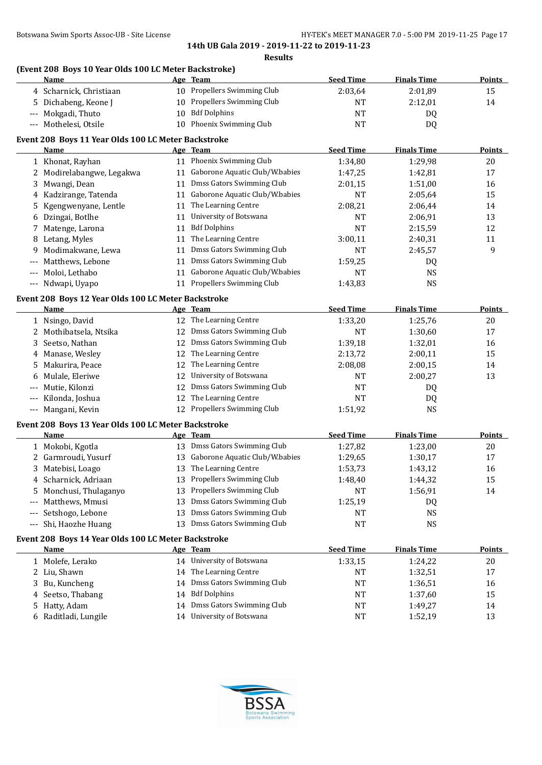# **(Event 208 Boys 10 Year Olds 100 LC Meter Backstroke)**

| (Event 200 DOYS IV real ORLS IOU LC METEL DACKSHOKE)<br><b>Name</b> |    | Age Team                          | <b>Seed Time</b> | <b>Finals Time</b> | <b>Points</b> |
|---------------------------------------------------------------------|----|-----------------------------------|------------------|--------------------|---------------|
| 4 Scharnick, Christiaan                                             |    | 10 Propellers Swimming Club       | 2:03,64          | 2:01,89            | 15            |
| 5 Dichabeng, Keone J                                                |    | 10 Propellers Swimming Club       | <b>NT</b>        | 2:12,01            | 14            |
| --- Mokgadi, Thuto                                                  |    | 10 Bdf Dolphins                   | <b>NT</b>        | DQ                 |               |
| --- Mothelesi, Otsile                                               |    | 10 Phoenix Swimming Club          | <b>NT</b>        | DQ                 |               |
| Event 208 Boys 11 Year Olds 100 LC Meter Backstroke                 |    |                                   |                  |                    |               |
| Name                                                                |    | Age Team                          | <b>Seed Time</b> | <b>Finals Time</b> | <b>Points</b> |
| 1 Khonat, Rayhan                                                    |    | 11 Phoenix Swimming Club          | 1:34,80          | 1:29,98            | 20            |
| 2 Modirelabangwe, Legakwa                                           |    | 11 Gaborone Aquatic Club/W.babies | 1:47,25          | 1:42,81            | 17            |
| Mwangi, Dean<br>3                                                   |    | 11 Dmss Gators Swimming Club      | 2:01,15          | 1:51,00            | 16            |
| 4 Kadzirange, Tatenda                                               |    | 11 Gaborone Aquatic Club/W.babies | <b>NT</b>        | 2:05,64            | 15            |
| Kgengwenyane, Lentle<br>5                                           |    | 11 The Learning Centre            | 2:08,21          | 2:06,44            | 14            |
| 6 Dzingai, Botlhe                                                   |    | 11 University of Botswana         | <b>NT</b>        | 2:06,91            | 13            |
| 7 Matenge, Larona                                                   | 11 | <b>Bdf Dolphins</b>               | <b>NT</b>        | 2:15,59            | 12            |
| 8 Letang, Myles                                                     | 11 | The Learning Centre               | 3:00,11          | 2:40,31            | 11            |
| Modimakwane, Lewa<br>9                                              | 11 | Dmss Gators Swimming Club         | <b>NT</b>        | 2:45,57            | 9             |
| Matthews, Lebone<br>$---$                                           | 11 | Dmss Gators Swimming Club         | 1:59,25          | DQ                 |               |
| Moloi, Lethabo<br>---                                               |    | 11 Gaborone Aquatic Club/W.babies | <b>NT</b>        | <b>NS</b>          |               |
| --- Ndwapi, Uyapo                                                   |    | 11 Propellers Swimming Club       | 1:43,83          | <b>NS</b>          |               |
| Event 208 Boys 12 Year Olds 100 LC Meter Backstroke                 |    |                                   |                  |                    |               |
| Name                                                                |    | Age Team                          | <b>Seed Time</b> | <b>Finals Time</b> | Points        |
| 1 Nsingo, David                                                     |    | 12 The Learning Centre            | 1:33,20          | 1:25,76            | 20            |
| 2 Mothibatsela, Ntsika                                              |    | 12 Dmss Gators Swimming Club      | <b>NT</b>        | 1:30,60            | 17            |
| Seetso, Nathan<br>3                                                 |    | 12 Dmss Gators Swimming Club      | 1:39,18          | 1:32,01            | 16            |
| 4 Manase, Wesley                                                    |    | 12 The Learning Centre            | 2:13,72          | 2:00,11            | 15            |
| Makurira, Peace<br>5                                                | 12 | The Learning Centre               | 2:08,08          | 2:00,15            | 14            |
| Mulale, Eleriwe<br>6                                                | 12 | University of Botswana            | NT               | 2:00,27            | 13            |
| Mutie, Kilonzi<br>---                                               | 12 | Dmss Gators Swimming Club         | <b>NT</b>        | DQ                 |               |
| Kilonda, Joshua<br>---                                              | 12 | The Learning Centre               | <b>NT</b>        | DQ                 |               |
| Mangani, Kevin<br>---                                               |    | 12 Propellers Swimming Club       | 1:51,92          | <b>NS</b>          |               |
| Event 208 Boys 13 Year Olds 100 LC Meter Backstroke                 |    |                                   |                  |                    |               |
| <b>Name</b>                                                         |    | Age Team                          | <b>Seed Time</b> | <b>Finals Time</b> | Points        |
| 1 Mokobi, Kgotla                                                    |    | 13 Dmss Gators Swimming Club      | 1:27,82          | 1:23,00            | 20            |
| 2 Garmroudi, Yusurf                                                 |    | 13 Gaborone Aquatic Club/W.babies | 1:29,65          | 1:30,17            | 17            |
| 3 Matebisi, Loago                                                   |    | 13 The Learning Centre            | 1:53,73          | 1:43,12            | 16            |
| Scharnick, Adriaan<br>4                                             |    | 13 Propellers Swimming Club       | 1:48,40          | 1:44,32            | 15            |
| Monchusi, Thulaganyo<br>5                                           |    | 13 Propellers Swimming Club       | NT               | 1:56,91            | 14            |
| Matthews, Mmusi<br>---                                              | 13 | Dmss Gators Swimming Club         | 1:25,19          | DQ                 |               |
| Setshogo, Lebone<br>---                                             | 13 | Dmss Gators Swimming Club         | NT               | <b>NS</b>          |               |
| Shi, Haozhe Huang<br>---                                            |    | 13 Dmss Gators Swimming Club      | <b>NT</b>        | <b>NS</b>          |               |
| Event 208 Boys 14 Year Olds 100 LC Meter Backstroke                 |    |                                   |                  |                    |               |
| <b>Name</b>                                                         |    | Age Team                          | <b>Seed Time</b> | <b>Finals Time</b> | <b>Points</b> |
| 1 Molefe, Lerako                                                    |    | 14 University of Botswana         | 1:33,15          | 1:24,22            | 20            |
| 2 Liu, Shawn                                                        |    | 14 The Learning Centre            | <b>NT</b>        | 1:32,51            | 17            |
| Bu, Kuncheng<br>3                                                   |    | 14 Dmss Gators Swimming Club      | <b>NT</b>        | 1:36,51            | 16            |
| Seetso, Thabang                                                     |    | 14 Bdf Dolphins                   | <b>NT</b>        | 1:37,60            | 15            |
| Hatty, Adam<br>5                                                    |    | 14 Dmss Gators Swimming Club      | NT               | 1:49,27            | 14            |
| 6 Raditladi, Lungile                                                |    | 14 University of Botswana         | NT               | 1:52,19            | 13            |

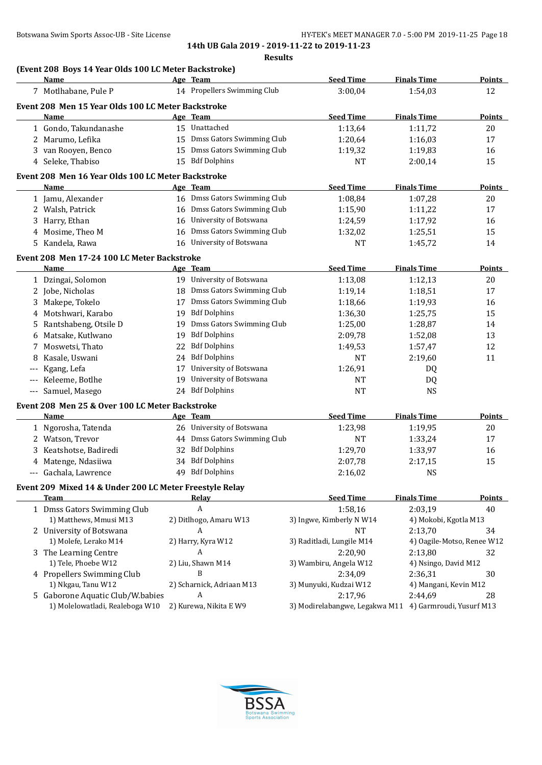|   | Name                                                    |    | Age Team                     | <b>Seed Time</b>                                        | <b>Finals Time</b>    | <b>Points</b>              |
|---|---------------------------------------------------------|----|------------------------------|---------------------------------------------------------|-----------------------|----------------------------|
|   | 7 Motlhabane, Pule P                                    |    | 14 Propellers Swimming Club  | 3:00,04                                                 | 1:54,03               | 12                         |
|   | Event 208 Men 15 Year Olds 100 LC Meter Backstroke      |    |                              |                                                         |                       |                            |
|   | Name                                                    |    | Age Team                     | <b>Seed Time</b>                                        | <b>Finals Time</b>    | Points                     |
|   | 1 Gondo, Takundanashe                                   |    | 15 Unattached                | 1:13,64                                                 | 1:11,72               | 20                         |
|   | 2 Marumo, Lefika                                        |    | 15 Dmss Gators Swimming Club | 1:20,64                                                 | 1:16,03               | 17                         |
|   | 3 van Rooyen, Benco                                     |    | 15 Dmss Gators Swimming Club | 1:19,32                                                 | 1:19,83               | 16                         |
|   | 4 Seleke, Thabiso                                       |    | 15 Bdf Dolphins              | <b>NT</b>                                               | 2:00,14               | 15                         |
|   |                                                         |    |                              |                                                         |                       |                            |
|   | Event 208 Men 16 Year Olds 100 LC Meter Backstroke      |    |                              |                                                         |                       |                            |
|   | Name                                                    |    | Age Team                     | <b>Seed Time</b>                                        | <b>Finals Time</b>    | <b>Points</b>              |
|   | 1 Jamu, Alexander                                       |    | 16 Dmss Gators Swimming Club | 1:08,84                                                 | 1:07,28               | 20                         |
|   | 2 Walsh, Patrick                                        |    | 16 Dmss Gators Swimming Club | 1:15,90                                                 | 1:11,22               | 17                         |
|   | 3 Harry, Ethan                                          | 16 | University of Botswana       | 1:24,59                                                 | 1:17,92               | 16                         |
|   | 4 Mosime, Theo M                                        | 16 | Dmss Gators Swimming Club    | 1:32,02                                                 | 1:25,51               | 15                         |
|   | 5 Kandela, Rawa                                         | 16 | University of Botswana       | <b>NT</b>                                               | 1:45,72               | 14                         |
|   | Event 208 Men 17-24 100 LC Meter Backstroke             |    |                              |                                                         |                       |                            |
|   | Name                                                    |    | Age Team                     | <b>Seed Time</b>                                        | <b>Finals Time</b>    | <b>Points</b>              |
|   | 1 Dzingai, Solomon                                      |    | 19 University of Botswana    | 1:13,08                                                 | 1:12,13               | 20                         |
|   | 2 Jobe, Nicholas                                        | 18 | Dmss Gators Swimming Club    | 1:19,14                                                 | 1:18,51               | 17                         |
|   | 3 Makepe, Tokelo                                        | 17 | Dmss Gators Swimming Club    | 1:18,66                                                 | 1:19,93               | 16                         |
|   | 4 Motshwari, Karabo                                     | 19 | <b>Bdf Dolphins</b>          | 1:36,30                                                 | 1:25,75               | 15                         |
|   | 5 Rantshabeng, Otsile D                                 | 19 | Dmss Gators Swimming Club    | 1:25,00                                                 | 1:28,87               | 14                         |
| 6 | Matsake, Kutlwano                                       | 19 | <b>Bdf Dolphins</b>          | 2:09,78                                                 | 1:52,08               | 13                         |
| 7 | Moswetsi, Thato                                         | 22 | <b>Bdf Dolphins</b>          | 1:49,53                                                 | 1:57,47               | 12                         |
| 8 | Kasale, Uswani                                          | 24 | <b>Bdf Dolphins</b>          | <b>NT</b>                                               | 2:19,60               | 11                         |
|   |                                                         | 17 | University of Botswana       | 1:26,91                                                 |                       |                            |
|   | Kgang, Lefa                                             | 19 | University of Botswana       |                                                         | DQ                    |                            |
|   | Keleeme, Botlhe                                         |    | 24 Bdf Dolphins              | <b>NT</b>                                               | DQ                    |                            |
|   | --- Samuel, Masego                                      |    |                              | <b>NT</b>                                               | <b>NS</b>             |                            |
|   | Event 208 Men 25 & Over 100 LC Meter Backstroke         |    |                              |                                                         |                       |                            |
|   | Name                                                    |    | Age Team                     | <b>Seed Time</b>                                        | <b>Finals Time</b>    | <b>Points</b>              |
|   | 1 Ngorosha, Tatenda                                     |    | 26 University of Botswana    | 1:23,98                                                 | 1:19,95               | 20                         |
|   | 2 Watson, Trevor                                        |    | 44 Dmss Gators Swimming Club | NT                                                      | 1:33,24               | 17                         |
|   | 3 Keatshotse, Badiredi                                  | 32 | <b>Bdf Dolphins</b>          | 1:29,70                                                 | 1:33,97               | 16                         |
|   | 4 Matenge, Ndasiiwa                                     |    | 34 Bdf Dolphins              | 2:07,78                                                 | 2:17,15               | 15                         |
|   | --- Gachala, Lawrence                                   | 49 | <b>Bdf Dolphins</b>          | 2:16,02                                                 | <b>NS</b>             |                            |
|   | Event 209 Mixed 14 & Under 200 LC Meter Freestyle Relay |    |                              |                                                         |                       |                            |
|   | Team                                                    |    | <b>Relay</b>                 | <b>Seed Time</b>                                        | <b>Finals Time</b>    | <b>Points</b>              |
|   | 1 Dmss Gators Swimming Club                             |    | A                            | 1:58,16                                                 | 2:03,19               | 40                         |
|   | 1) Matthews, Mmusi M13                                  |    | 2) Ditlhogo, Amaru W13       | 3) Ingwe, Kimberly N W14                                | 4) Mokobi, Kgotla M13 |                            |
|   | 2 University of Botswana                                |    | A                            | NT                                                      | 2:13,70               | 34                         |
|   | 1) Molefe, Lerako M14                                   |    | 2) Harry, Kyra W12           | 3) Raditladi, Lungile M14                               |                       | 4) Oagile-Motso, Renee W12 |
|   | 3 The Learning Centre                                   |    | A                            | 2:20,90                                                 | 2:13,80               | 32                         |
|   | 1) Tele, Phoebe W12                                     |    | 2) Liu, Shawn M14            | 3) Wambiru, Angela W12                                  | 4) Nsingo, David M12  |                            |
|   | 4 Propellers Swimming Club                              |    | B                            | 2:34,09                                                 | 2:36,31               | 30                         |
|   | 1) Nkgau, Tanu W12                                      |    | 2) Scharnick, Adriaan M13    | 3) Munyuki, Kudzai W12                                  | 4) Mangani, Kevin M12 |                            |
|   | 5 Gaborone Aquatic Club/W.babies                        |    | A                            | 2:17,96                                                 | 2:44,69               | 28                         |
|   | 1) Molelowatladi, Realeboga W10                         |    | 2) Kurewa, Nikita E W9       | 3) Modirelabangwe, Legakwa M11 4) Garmroudi, Yusurf M13 |                       |                            |
|   |                                                         |    |                              |                                                         |                       |                            |

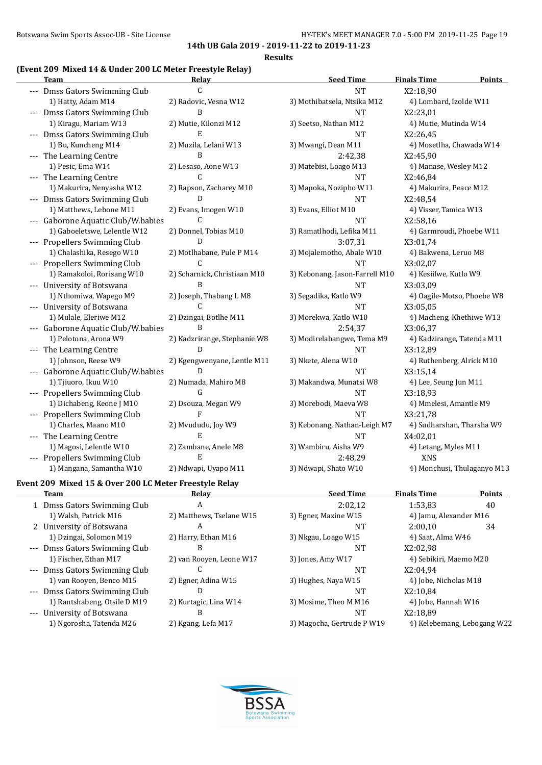#### **(Event 209 Mixed 14 & Under 200 LC Meter Freestyle Relay)**

| <b>Team</b>                        | Relay                        | <b>Seed Time</b>               | <b>Finals Time</b><br><b>Points</b> |
|------------------------------------|------------------------------|--------------------------------|-------------------------------------|
| --- Dmss Gators Swimming Club      | $\mathcal{C}$                | <b>NT</b>                      | X2:18,90                            |
| 1) Hatty, Adam M14                 | 2) Radovic, Vesna W12        | 3) Mothibatsela, Ntsika M12    | 4) Lombard, Izolde W11              |
| --- Dmss Gators Swimming Club      | B                            | <b>NT</b>                      | X2:23,01                            |
| 1) Kiragu, Mariam W13              | 2) Mutie, Kilonzi M12        | 3) Seetso, Nathan M12          | 4) Mutie, Mutinda W14               |
| --- Dmss Gators Swimming Club      | E                            | <b>NT</b>                      | X2:26,45                            |
| 1) Bu, Kuncheng M14                | 2) Muzila, Lelani W13        | 3) Mwangi, Dean M11            | 4) Mosetlha, Chawada W14            |
| --- The Learning Centre            | $\overline{B}$               | 2:42,38                        | X2:45,90                            |
| 1) Pesic, Ema W14                  | 2) Lesaso, Aone W13          | 3) Matebisi, Loago M13         | 4) Manase, Wesley M12               |
| --- The Learning Centre            | C                            | <b>NT</b>                      | X2:46,84                            |
| 1) Makurira, Nenyasha W12          | 2) Rapson, Zacharey M10      | 3) Mapoka, Nozipho W11         | 4) Makurira, Peace M12              |
| --- Dmss Gators Swimming Club      | D                            | <b>NT</b>                      | X2:48,54                            |
| 1) Matthews, Lebone M11            | 2) Evans, Imogen W10         | 3) Evans, Elliot M10           | 4) Visser, Tamica W13               |
| --- Gaborone Aquatic Club/W.babies | C                            | <b>NT</b>                      | X2:58,16                            |
| 1) Gaboeletswe, Lelentle W12       | 2) Donnel, Tobias M10        | 3) Ramatlhodi, Lefika M11      | 4) Garmroudi, Phoebe W11            |
| --- Propellers Swimming Club       | $\mathbf{D}$                 | 3:07,31                        | X3:01,74                            |
| 1) Chalashika, Resego W10          | 2) Motlhabane, Pule P M14    | 3) Mojalemotho, Abale W10      | 4) Bakwena, Leruo M8                |
| --- Propellers Swimming Club       | C                            | <b>NT</b>                      | X3:02,07                            |
| 1) Ramakoloi, Rorisang W10         | 2) Scharnick, Christiaan M10 | 3) Kebonang, Jason-Farrell M10 | 4) Kesiilwe, Kutlo W9               |
| --- University of Botswana         | R                            | <b>NT</b>                      | X3:03,09                            |
| 1) Nthomiwa, Wapego M9             | 2) Joseph, Thabang L M8      | 3) Segadika, Katlo W9          | 4) Oagile-Motso, Phoebe W8          |
| --- University of Botswana         | C                            | <b>NT</b>                      | X3:05,05                            |
| 1) Mulale, Eleriwe M12             | 2) Dzingai, Botlhe M11       | 3) Morekwa, Katlo W10          | 4) Macheng, Khethiwe W13            |
| --- Gaborone Aquatic Club/W.babies | B                            | 2:54,37                        | X3:06,37                            |
| 1) Pelotona, Arona W9              | 2) Kadzrirange, Stephanie W8 | 3) Modirelabangwe, Tema M9     | 4) Kadzirange, Tatenda M11          |
| --- The Learning Centre            | D                            | <b>NT</b>                      | X3:12,89                            |
| 1) Johnson, Reese W9               | 2) Kgengwenyane, Lentle M11  | 3) Nkete, Alena W10            | 4) Ruthenberg, Alrick M10           |
| --- Gaborone Aquatic Club/W.babies | D                            | <b>NT</b>                      | X3:15,14                            |
| 1) Tjiuoro, Ikuu W10               | 2) Numada, Mahiro M8         | 3) Makandwa, Munatsi W8        | 4) Lee, Seung Jun M11               |
| --- Propellers Swimming Club       | G                            | <b>NT</b>                      | X3:18,93                            |
| 1) Dichabeng, Keone J M10          | 2) Dsouza, Megan W9          | 3) Morebodi, Maeva W8          | 4) Mmelesi, Amantle M9              |
| --- Propellers Swimming Club       | $\mathbf{F}$                 | <b>NT</b>                      | X3:21,78                            |
| 1) Charles, Maano M10              | 2) Mvududu, Joy W9           | 3) Kebonang, Nathan-Leigh M7   | 4) Sudharshan, Tharsha W9           |
| --- The Learning Centre            | E                            | <b>NT</b>                      | X4:02,01                            |
| 1) Magosi, Lelentle W10            | 2) Zambane, Anele M8         | 3) Wambiru, Aisha W9           | 4) Letang, Myles M11                |
| --- Propellers Swimming Club       | E                            | 2:48,29                        | XNS                                 |
| 1) Mangana, Samantha W10           | 2) Ndwapi, Uyapo M11         | 3) Ndwapi, Shato W10           | 4) Monchusi, Thulaganyo M13         |

#### **Event 209 Mixed 15 & Over 200 LC Meter Freestyle Relay**

 $\overline{\phantom{a}}$ 

|                     | Team                          | Relay                    | <b>Seed Time</b>           | <b>Finals Time</b>          | <b>Points</b> |
|---------------------|-------------------------------|--------------------------|----------------------------|-----------------------------|---------------|
|                     | 1 Dmss Gators Swimming Club   | А                        | 2:02.12                    | 1:53.83                     | 40            |
|                     | 1) Walsh, Patrick M16         | 2) Matthews, Tselane W15 | 3) Egner, Maxine W15       | 4) Jamu, Alexander M16      |               |
|                     | 2 University of Botswana      | A                        | NT                         | 2:00.10                     | 34            |
|                     | 1) Dzingai, Solomon M19       | 2) Harry, Ethan M16      | 3) Nkgau, Loago W15        | 4) Saat, Alma W46           |               |
|                     | --- Dmss Gators Swimming Club |                          | NT                         | X2:02,98                    |               |
|                     | 1) Fischer, Ethan M17         | 2) van Rooven, Leone W17 | 3) Jones, Amy W17          | 4) Sebikiri, Maemo M20      |               |
| $\qquad \qquad - -$ | Dmss Gators Swimming Club     |                          | NT                         | X2:04.94                    |               |
|                     | 1) van Rooyen, Benco M15      | 2) Egner, Adina W15      | 3) Hughes, Naya W15        | 4) Jobe, Nicholas M18       |               |
|                     | --- Dmss Gators Swimming Club | D                        | <b>NT</b>                  | X2:10,84                    |               |
|                     | 1) Rantshabeng, Otsile D M19  | 2) Kurtagic, Lina W14    | 3) Mosime, Theo M M16      | 4) Jobe, Hannah W16         |               |
| $\qquad \qquad - -$ | University of Botswana        | в                        | NT                         | X2:18.89                    |               |
|                     | 1) Ngorosha, Tatenda M26      | 2) Kgang, Lefa M17       | 3) Magocha, Gertrude P W19 | 4) Kelebemang, Lebogang W22 |               |
|                     |                               |                          |                            |                             |               |